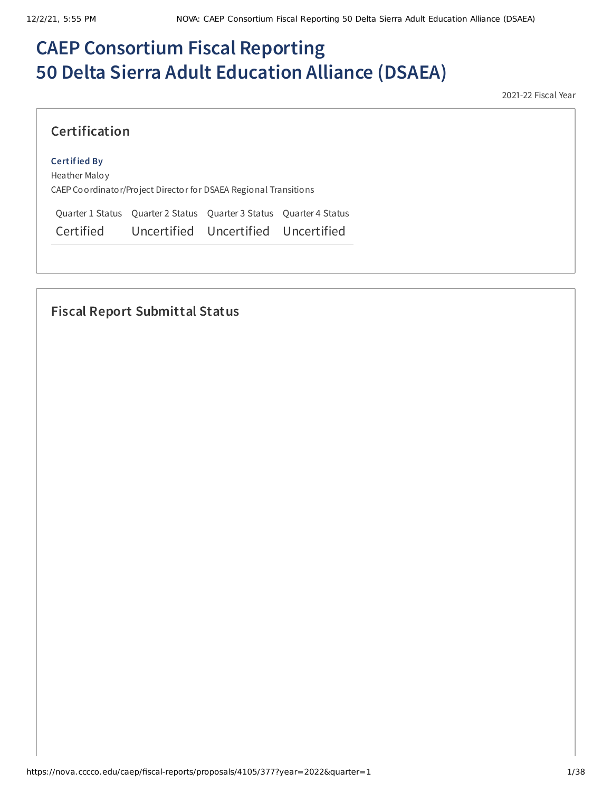# **CAEP Consortium Fiscal Reporting 50 Delta Sierra Adult Education Alliance (DSAEA)**

2021-22 Fiscal Year

### **Certification**

#### **Certified By**

Heather Maloy CAEP Coordinator/Project Director for DSAEA Regional Transitions

Quarter 1 Status Quarter 2 Status Quarter 3 Status Quarter 4 Status Certified Uncertified Uncertified Uncertified

# **Fiscal Report Submittal Status**

https://nova.cccco.edu/caep/fiscal-reports/proposals/4105/377?year=2022&quarter=1 1/38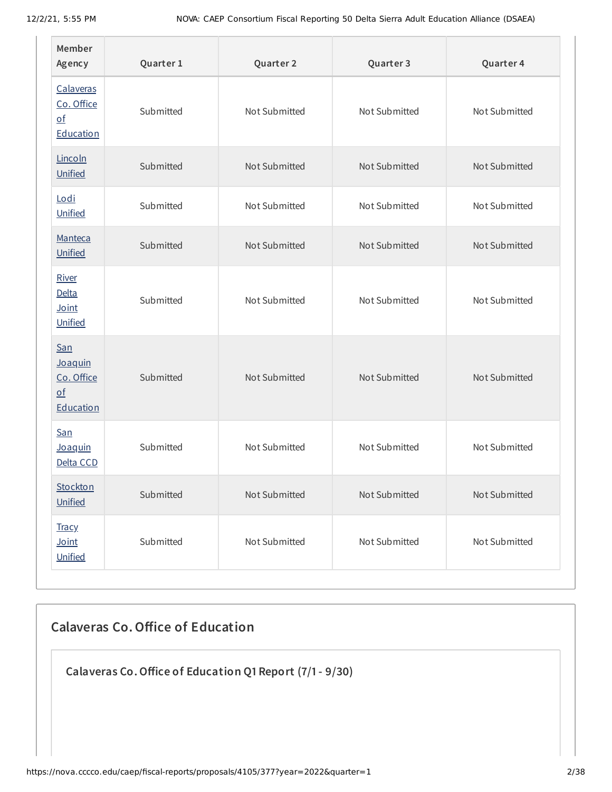| Member<br>Agency                                                              | Quarter 1 | Quarter 2     | Quarter 3     | Quarter 4     |
|-------------------------------------------------------------------------------|-----------|---------------|---------------|---------------|
| Calaveras<br>Co. Office<br>$\underline{\mathsf{of}}$<br>Education             | Submitted | Not Submitted | Not Submitted | Not Submitted |
| Lincoln<br>Unified                                                            | Submitted | Not Submitted | Not Submitted | Not Submitted |
| Lodi<br>Unified                                                               | Submitted | Not Submitted | Not Submitted | Not Submitted |
| Manteca<br>Unified                                                            | Submitted | Not Submitted | Not Submitted | Not Submitted |
| River<br>Delta<br>Joint<br>Unified                                            | Submitted | Not Submitted | Not Submitted | Not Submitted |
| <b>San</b><br>Joaquin<br>Co. Office<br>$\underline{\mathsf{of}}$<br>Education | Submitted | Not Submitted | Not Submitted | Not Submitted |
| <b>San</b><br>Joaquin<br>Delta CCD                                            | Submitted | Not Submitted | Not Submitted | Not Submitted |
| Stockton<br>Unified                                                           | Submitted | Not Submitted | Not Submitted | Not Submitted |
| <b>Tracy</b><br>Joint<br>Unified                                              | Submitted | Not Submitted | Not Submitted | Not Submitted |

# **Calaveras Co.Office of Education**

**Calaveras Co.Office of Education Q1 Report (7/1- 9/30)**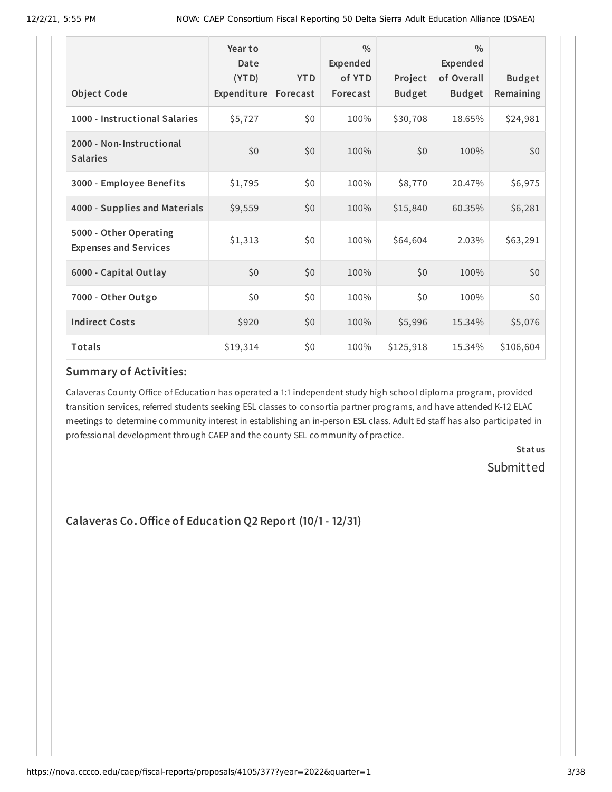|                                                        | Year to<br>Date<br>(YTD) | <b>YTD</b> | $\frac{0}{0}$<br>Expended<br>of YTD | Project       | $\frac{0}{0}$<br><b>Expended</b><br>of Overall | <b>Budget</b> |
|--------------------------------------------------------|--------------------------|------------|-------------------------------------|---------------|------------------------------------------------|---------------|
| <b>Object Code</b>                                     | Expenditure Forecast     |            | Forecast                            | <b>Budget</b> | <b>Budget</b>                                  | Remaining     |
| 1000 - Instructional Salaries                          | \$5,727                  | \$0        | 100%                                | \$30,708      | 18.65%                                         | \$24,981      |
| 2000 - Non-Instructional<br><b>Salaries</b>            | \$0                      | \$0        | 100%                                | \$0           | 100%                                           | \$0           |
| 3000 - Employee Benefits                               | \$1,795                  | \$0        | 100%                                | \$8,770       | 20.47%                                         | \$6,975       |
| 4000 - Supplies and Materials                          | \$9,559                  | \$0        | 100%                                | \$15,840      | 60.35%                                         | \$6,281       |
| 5000 - Other Operating<br><b>Expenses and Services</b> | \$1,313                  | \$0        | 100%                                | \$64,604      | 2.03%                                          | \$63,291      |
| 6000 - Capital Outlay                                  | \$0                      | \$0        | 100%                                | \$0           | 100%                                           | \$0\$         |
| 7000 - Other Outgo                                     | \$0                      | \$0        | 100%                                | \$0           | 100%                                           | \$0           |
| <b>Indirect Costs</b>                                  | \$920                    | \$0        | 100%                                | \$5,996       | 15.34%                                         | \$5,076       |
| Totals                                                 | \$19,314                 | \$0        | 100%                                | \$125,918     | 15.34%                                         | \$106,604     |

#### **Summary of Activities:**

Calaveras County Office of Education has operated a 1:1 independent study high school diploma program, provided transition services, referred students seeking ESL classes to consortia partner programs, and have attended K-12 ELAC meetings to determine community interest in establishing an in-person ESL class. Adult Ed staff has also participated in professional development through CAEP and the county SEL community of practice.

> **Status** Submitted

**Calaveras Co.Office of Education Q2 Report (10/1- 12/31)**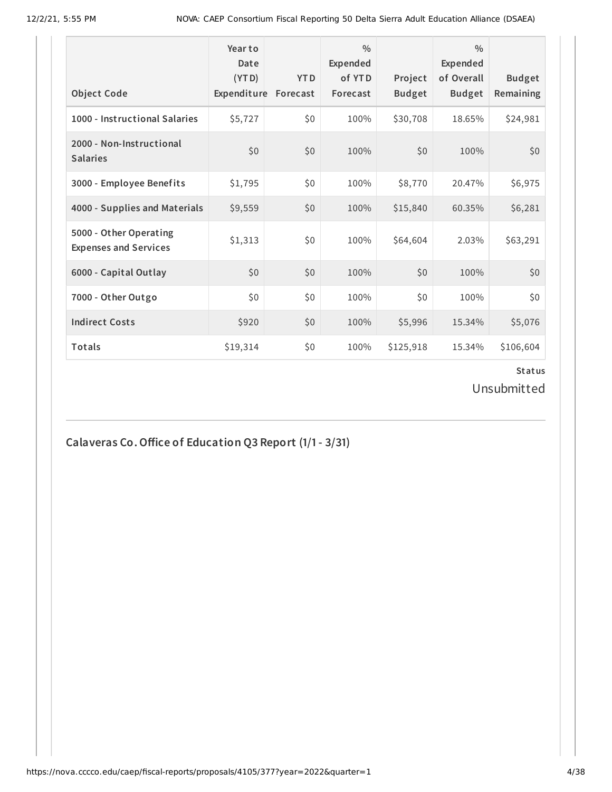| <b>Object Code</b>                                     | Year to<br>Date<br>(YTD)<br>Expenditure | <b>YTD</b><br>Forecast | $\frac{0}{0}$<br>Expended<br>of YTD<br>Forecast | Project<br><b>Budget</b> | $\frac{0}{0}$<br>Expended<br>of Overall<br><b>Budget</b> | <b>Budget</b><br>Remaining |
|--------------------------------------------------------|-----------------------------------------|------------------------|-------------------------------------------------|--------------------------|----------------------------------------------------------|----------------------------|
| 1000 - Instructional Salaries                          | \$5,727                                 | \$0                    | 100%                                            | \$30,708                 | 18.65%                                                   | \$24,981                   |
| 2000 - Non-Instructional<br><b>Salaries</b>            | \$0                                     | \$0                    | 100%                                            | \$0                      | 100%                                                     | \$0                        |
| 3000 - Employee Benefits                               | \$1,795                                 | \$0                    | 100%                                            | \$8,770                  | 20.47%                                                   | \$6,975                    |
| 4000 - Supplies and Materials                          | \$9,559                                 | \$0                    | 100%                                            | \$15,840                 | 60.35%                                                   | \$6,281                    |
| 5000 - Other Operating<br><b>Expenses and Services</b> | \$1,313                                 | \$0                    | 100%                                            | \$64,604                 | 2.03%                                                    | \$63,291                   |
| 6000 - Capital Outlay                                  | \$0                                     | \$0                    | 100%                                            | \$0                      | 100%                                                     | \$0                        |
| 7000 - Other Outgo                                     | \$0                                     | \$0                    | 100%                                            | \$0                      | 100%                                                     | \$0                        |
| <b>Indirect Costs</b>                                  | \$920                                   | \$0                    | 100%                                            | \$5,996                  | 15.34%                                                   | \$5,076                    |
| <b>Totals</b>                                          | \$19,314                                | \$0                    | 100%                                            | \$125,918                | 15.34%                                                   | \$106,604                  |

Unsubmitted

**Calaveras Co.Office of Education Q3 Report (1/1- 3/31)**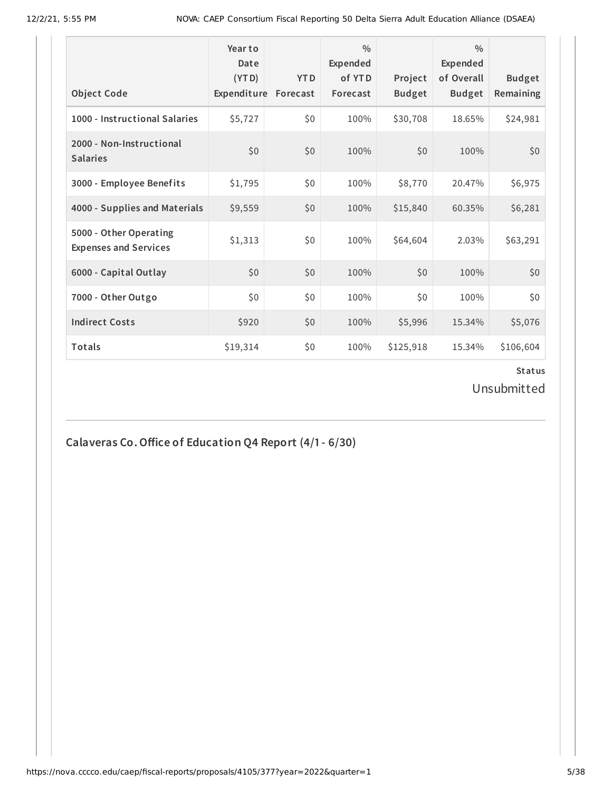| <b>Object Code</b>                                     | Year to<br>Date<br>(YTD)<br>Expenditure | <b>YTD</b><br>Forecast | $\frac{0}{0}$<br>Expended<br>of YTD<br>Forecast | Project<br><b>Budget</b> | $\frac{0}{0}$<br><b>Expended</b><br>of Overall<br><b>Budget</b> | <b>Budget</b><br>Remaining |
|--------------------------------------------------------|-----------------------------------------|------------------------|-------------------------------------------------|--------------------------|-----------------------------------------------------------------|----------------------------|
| 1000 - Instructional Salaries                          | \$5,727                                 | \$0                    | 100%                                            | \$30,708                 | 18.65%                                                          | \$24,981                   |
| 2000 - Non-Instructional<br><b>Salaries</b>            | \$0                                     | \$0                    | 100%                                            | \$0                      | 100%                                                            | \$0                        |
| 3000 - Employee Benefits                               | \$1,795                                 | \$0                    | 100%                                            | \$8,770                  | 20.47%                                                          | \$6,975                    |
| 4000 - Supplies and Materials                          | \$9,559                                 | \$0                    | 100%                                            | \$15,840                 | 60.35%                                                          | \$6,281                    |
| 5000 - Other Operating<br><b>Expenses and Services</b> | \$1,313                                 | \$0                    | 100%                                            | \$64,604                 | 2.03%                                                           | \$63,291                   |
| 6000 - Capital Outlay                                  | \$0                                     | \$0                    | 100%                                            | \$0                      | 100%                                                            | \$0                        |
| 7000 - Other Outgo                                     | \$0                                     | \$0                    | 100%                                            | \$0                      | 100%                                                            | \$0                        |
| <b>Indirect Costs</b>                                  | \$920                                   | \$0                    | 100%                                            | \$5,996                  | 15.34%                                                          | \$5,076                    |
| <b>Totals</b>                                          | \$19,314                                | \$0                    | 100%                                            | \$125,918                | 15.34%                                                          | \$106,604                  |

Unsubmitted

**Calaveras Co.Office of Education Q4 Report (4/1- 6/30)**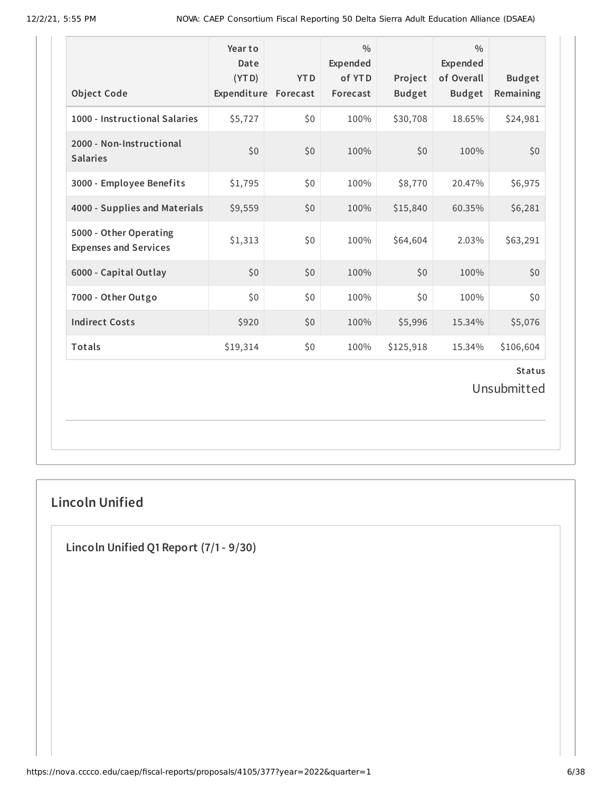| <b>Object Code</b>                                     | Year to<br>Date<br>(YTD)<br>Expenditure Forecast | <b>YTD</b> | $\frac{0}{0}$<br>Expended<br>of YTD<br>Forecast | Project<br><b>Budget</b> | $\frac{0}{0}$<br>Expended<br>of Overall<br><b>Budget</b> | <b>Budget</b><br>Remaining |  |
|--------------------------------------------------------|--------------------------------------------------|------------|-------------------------------------------------|--------------------------|----------------------------------------------------------|----------------------------|--|
| 1000 - Instructional Salaries                          | \$5,727                                          | \$0        | 100%                                            | \$30,708                 | 18.65%                                                   | \$24,981                   |  |
| 2000 - Non-Instructional<br><b>Salaries</b>            | \$0                                              | \$0        | 100%                                            | \$0                      | 100%                                                     | \$0                        |  |
| 3000 - Employee Benefits                               | \$1,795                                          | \$0        | 100%                                            | \$8,770                  | 20.47%                                                   | \$6,975                    |  |
| 4000 - Supplies and Materials                          | \$9,559                                          | \$0        | 100%                                            | \$15,840                 | 60.35%                                                   | \$6,281                    |  |
| 5000 - Other Operating<br><b>Expenses and Services</b> | \$1,313                                          | \$0        | 100%                                            | \$64,604                 | 2.03%                                                    | \$63,291                   |  |
| 6000 - Capital Outlay                                  | \$0                                              | \$0        | 100%                                            | \$0                      | 100%                                                     | \$0                        |  |
| 7000 - Other Outgo                                     | \$0                                              | \$0        | 100%                                            | \$0                      | 100%                                                     | \$0                        |  |
| <b>Indirect Costs</b>                                  | \$920                                            | \$0        | 100%                                            | \$5,996                  | 15.34%                                                   | \$5,076                    |  |
| Totals                                                 | \$19,314                                         | \$0        | 100%                                            | \$125,918                | 15.34%                                                   | \$106,604                  |  |
| <b>Status</b><br>Unsubmitted                           |                                                  |            |                                                 |                          |                                                          |                            |  |

# **Lincoln Unified**

**Lincoln Unified Q1 Report (7/1- 9/30)**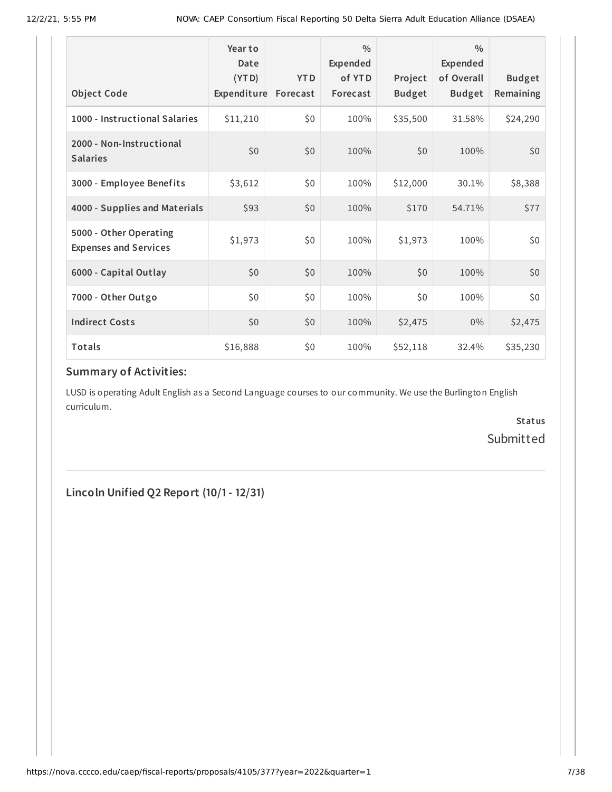|                                                        | Year to<br>Date<br>(YTD) | <b>YTD</b> | $\frac{0}{0}$<br>Expended<br>of YTD | Project       | $\frac{0}{0}$<br><b>Expended</b><br>of Overall | <b>Budget</b> |
|--------------------------------------------------------|--------------------------|------------|-------------------------------------|---------------|------------------------------------------------|---------------|
| <b>Object Code</b>                                     | Expenditure Forecast     |            | Forecast                            | <b>Budget</b> | <b>Budget</b>                                  | Remaining     |
| 1000 - Instructional Salaries                          | \$11,210                 | \$0        | 100%                                | \$35,500      | 31.58%                                         | \$24,290      |
| 2000 - Non-Instructional<br><b>Salaries</b>            | \$0                      | \$0        | 100%                                | \$0           | 100%                                           | \$0           |
| 3000 - Employee Benefits                               | \$3,612                  | \$0        | 100%                                | \$12,000      | 30.1%                                          | \$8,388       |
| 4000 - Supplies and Materials                          | \$93                     | \$0        | 100%                                | \$170         | 54.71%                                         | \$77          |
| 5000 - Other Operating<br><b>Expenses and Services</b> | \$1,973                  | \$0        | 100%                                | \$1,973       | 100%                                           | \$0           |
| 6000 - Capital Outlay                                  | \$0                      | \$0        | 100%                                | \$0           | 100%                                           | \$0           |
| 7000 - Other Outgo                                     | \$0                      | \$0        | 100%                                | \$0           | 100%                                           | \$0           |
| <b>Indirect Costs</b>                                  | \$0                      | \$0        | 100%                                | \$2,475       | $0\%$                                          | \$2,475       |
| Totals                                                 | \$16,888                 | \$0        | 100%                                | \$52,118      | 32.4%                                          | \$35,230      |

#### **Summary of Activities:**

LUSD is operating Adult English as a Second Language courses to our community. We use the Burlington English curriculum.

> **Status** Submitted

**Lincoln Unified Q2 Report (10/1- 12/31)**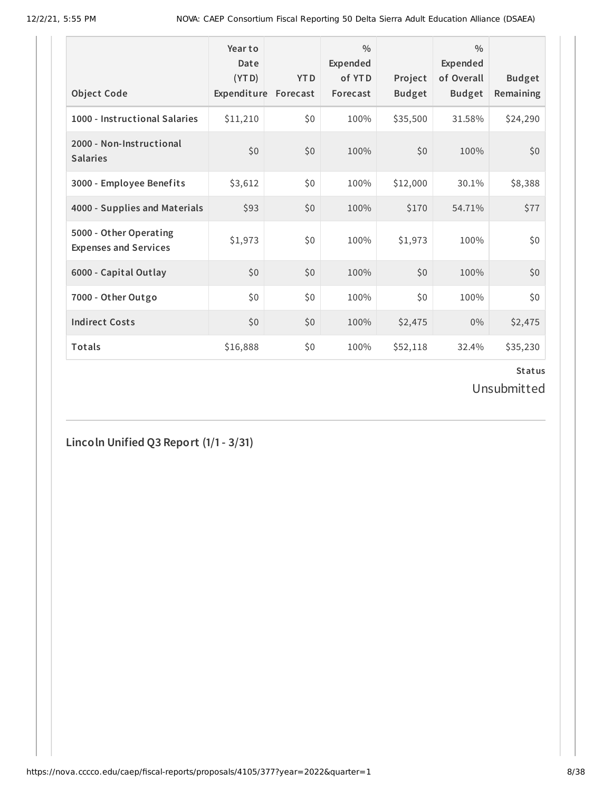| <b>Object Code</b>                                     | Year to<br>Date<br>(YTD)<br>Expenditure | <b>YTD</b><br>Forecast | $\frac{0}{0}$<br>Expended<br>of YTD<br>Forecast | Project<br><b>Budget</b> | $\frac{0}{0}$<br><b>Expended</b><br>of Overall<br><b>Budget</b> | <b>Budget</b><br>Remaining |
|--------------------------------------------------------|-----------------------------------------|------------------------|-------------------------------------------------|--------------------------|-----------------------------------------------------------------|----------------------------|
| 1000 - Instructional Salaries                          | \$11,210                                | \$0                    | 100%                                            | \$35,500                 | 31.58%                                                          | \$24,290                   |
| 2000 - Non-Instructional<br><b>Salaries</b>            | \$0                                     | \$0                    | 100%                                            | \$0                      | 100%                                                            | \$0                        |
| 3000 - Employee Benefits                               | \$3,612                                 | \$0                    | 100%                                            | \$12,000                 | 30.1%                                                           | \$8,388                    |
| 4000 - Supplies and Materials                          | \$93                                    | \$0                    | 100%                                            | \$170                    | 54.71%                                                          | \$77                       |
| 5000 - Other Operating<br><b>Expenses and Services</b> | \$1,973                                 | \$0                    | 100%                                            | \$1,973                  | 100%                                                            | \$0                        |
| 6000 - Capital Outlay                                  | \$0                                     | \$0                    | 100%                                            | \$0                      | 100%                                                            | \$0                        |
| 7000 - Other Outgo                                     | \$0\$                                   | \$0                    | 100%                                            | \$0                      | 100%                                                            | \$0                        |
| <b>Indirect Costs</b>                                  | \$0                                     | \$0                    | 100%                                            | \$2,475                  | 0%                                                              | \$2,475                    |
| <b>Totals</b>                                          | \$16,888                                | \$0                    | 100%                                            | \$52,118                 | 32.4%                                                           | \$35,230                   |

Unsubmitted

**Lincoln Unified Q3 Report (1/1- 3/31)**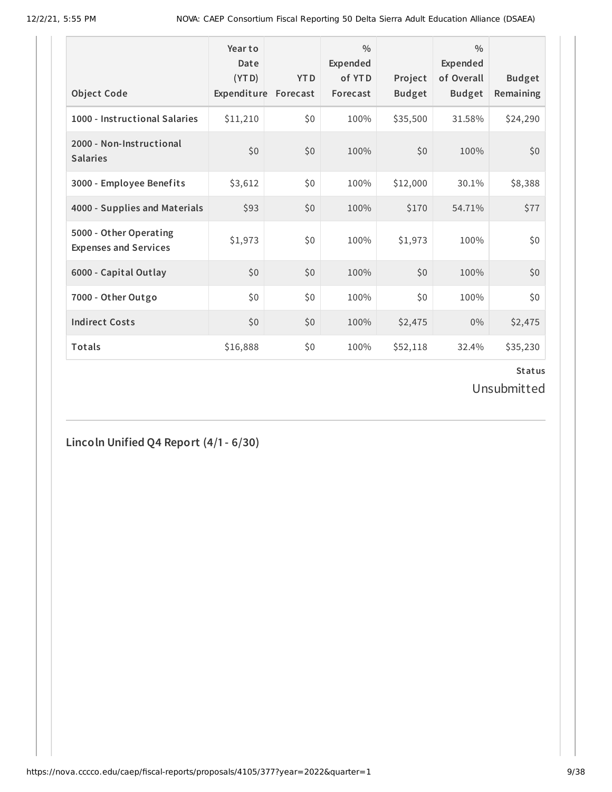| <b>Object Code</b>                                     | Year to<br>Date<br>(YTD)<br>Expenditure | <b>YTD</b><br>Forecast | $\frac{0}{0}$<br>Expended<br>of YTD<br>Forecast | Project<br><b>Budget</b> | $\frac{0}{0}$<br><b>Expended</b><br>of Overall<br><b>Budget</b> | <b>Budget</b><br>Remaining |
|--------------------------------------------------------|-----------------------------------------|------------------------|-------------------------------------------------|--------------------------|-----------------------------------------------------------------|----------------------------|
| 1000 - Instructional Salaries                          | \$11,210                                | \$0                    | 100%                                            | \$35,500                 | 31.58%                                                          | \$24,290                   |
| 2000 - Non-Instructional<br><b>Salaries</b>            | \$0                                     | \$0                    | 100%                                            | \$0                      | 100%                                                            | \$0                        |
| 3000 - Employee Benefits                               | \$3,612                                 | \$0                    | 100%                                            | \$12,000                 | 30.1%                                                           | \$8,388                    |
| 4000 - Supplies and Materials                          | \$93                                    | \$0                    | 100%                                            | \$170                    | 54.71%                                                          | \$77                       |
| 5000 - Other Operating<br><b>Expenses and Services</b> | \$1,973                                 | \$0                    | 100%                                            | \$1,973                  | 100%                                                            | \$0                        |
| 6000 - Capital Outlay                                  | \$0                                     | \$0                    | 100%                                            | \$0                      | 100%                                                            | \$0                        |
| 7000 - Other Outgo                                     | \$0                                     | \$0                    | 100%                                            | \$0                      | 100%                                                            | \$0                        |
| <b>Indirect Costs</b>                                  | \$0                                     | \$0                    | 100%                                            | \$2,475                  | $0\%$                                                           | \$2,475                    |
| <b>Totals</b>                                          | \$16,888                                | \$0                    | 100%                                            | \$52,118                 | 32.4%                                                           | \$35,230                   |

Unsubmitted

**Lincoln Unified Q4 Report (4/1- 6/30)**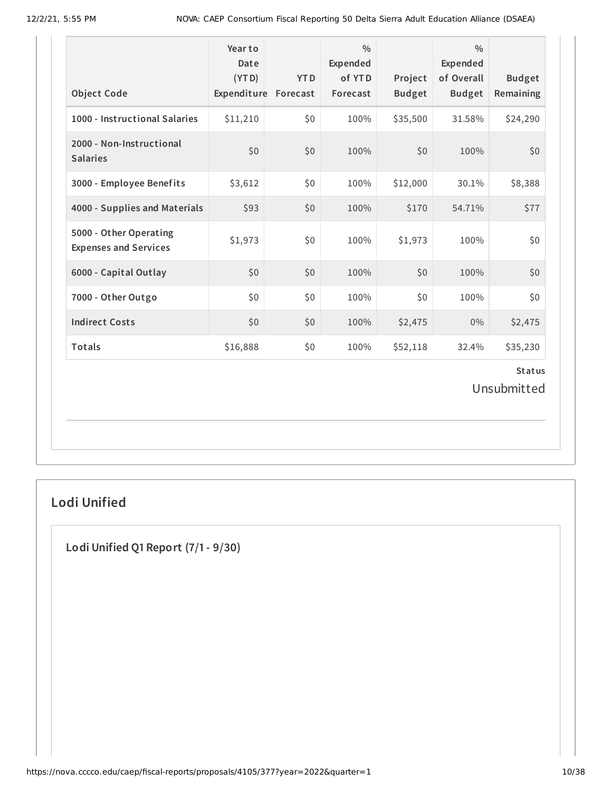| <b>Object Code</b>                                     | Year to<br>Date<br>(YTD)<br>Expenditure Forecast | <b>YTD</b> | $\frac{0}{0}$<br><b>Expended</b><br>of YTD<br>Forecast | Project<br><b>Budget</b> | $\frac{0}{0}$<br><b>Expended</b><br>of Overall<br><b>Budget</b> | <b>Budget</b><br>Remaining |
|--------------------------------------------------------|--------------------------------------------------|------------|--------------------------------------------------------|--------------------------|-----------------------------------------------------------------|----------------------------|
| 1000 - Instructional Salaries                          | \$11,210                                         | \$0        | 100%                                                   | \$35,500                 | 31.58%                                                          | \$24,290                   |
| 2000 - Non-Instructional<br><b>Salaries</b>            | \$0                                              | \$0        | 100%                                                   | \$0                      | 100%                                                            | \$0                        |
| 3000 - Employee Benefits                               | \$3,612                                          | \$0        | 100%                                                   | \$12,000                 | 30.1%                                                           | \$8,388                    |
| 4000 - Supplies and Materials                          | \$93                                             | \$0        | 100%                                                   | \$170                    | 54.71%                                                          | \$77                       |
| 5000 - Other Operating<br><b>Expenses and Services</b> | \$1,973                                          | \$0        | 100%                                                   | \$1,973                  | 100%                                                            | \$0                        |
| 6000 - Capital Outlay                                  | \$0                                              | \$0        | 100%                                                   | \$0                      | 100%                                                            | \$0                        |
| 7000 - Other Outgo                                     | \$0                                              | \$0        | 100%                                                   | \$0                      | 100%                                                            | \$0                        |
| <b>Indirect Costs</b>                                  | \$0                                              | \$0        | 100%                                                   | \$2,475                  | $0\%$                                                           | \$2,475                    |
| Totals                                                 | \$16,888                                         | \$0        | 100%                                                   | \$52,118                 | 32.4%                                                           | \$35,230                   |
| <b>Status</b><br>Unsubmitted                           |                                                  |            |                                                        |                          |                                                                 |                            |

# **Lodi Unified**

**Lodi Unified Q1 Report (7/1- 9/30)**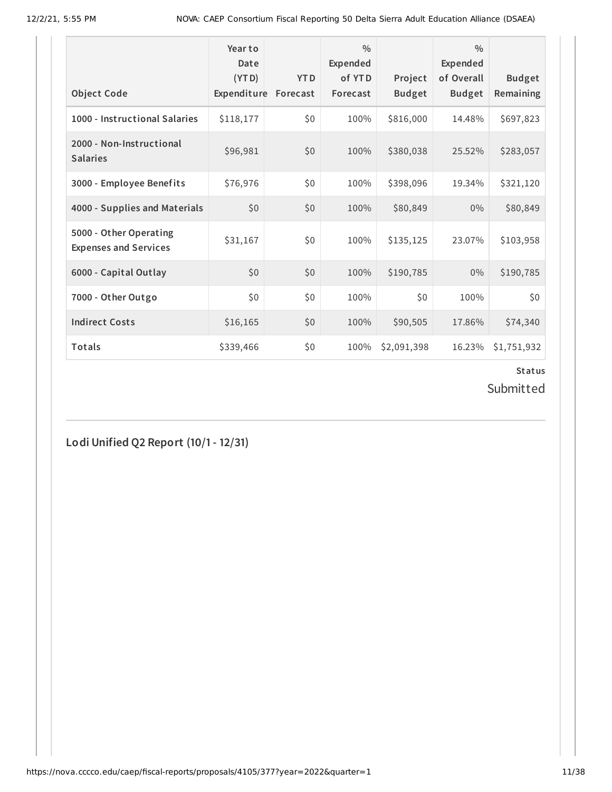| <b>Object Code</b>                                     | Year to<br>Date<br>(YTD)<br>Expenditure | <b>YTD</b><br>Forecast | $\frac{0}{0}$<br>Expended<br>of YTD<br>Forecast | Project<br><b>Budget</b> | $\frac{0}{0}$<br>Expended<br>of Overall<br><b>Budget</b> | <b>Budget</b><br>Remaining |
|--------------------------------------------------------|-----------------------------------------|------------------------|-------------------------------------------------|--------------------------|----------------------------------------------------------|----------------------------|
| 1000 - Instructional Salaries                          | \$118,177                               | \$0                    | 100%                                            | \$816,000                | 14.48%                                                   | \$697,823                  |
| 2000 - Non-Instructional<br><b>Salaries</b>            | \$96,981                                | \$0                    | 100%                                            | \$380,038                | 25.52%                                                   | \$283,057                  |
| 3000 - Employee Benefits                               | \$76,976                                | \$0                    | 100%                                            | \$398,096                | 19.34%                                                   | \$321,120                  |
| 4000 - Supplies and Materials                          | \$0                                     | \$0                    | 100%                                            | \$80,849                 | $0\%$                                                    | \$80,849                   |
| 5000 - Other Operating<br><b>Expenses and Services</b> | \$31,167                                | \$0                    | 100%                                            | \$135,125                | 23.07%                                                   | \$103,958                  |
| 6000 - Capital Outlay                                  | \$0                                     | \$0                    | 100%                                            | \$190,785                | $0\%$                                                    | \$190,785                  |
| 7000 - Other Outgo                                     | \$0\$                                   | \$0                    | 100%                                            | \$0                      | 100%                                                     | \$0                        |
| <b>Indirect Costs</b>                                  | \$16,165                                | \$0                    | 100%                                            | \$90,505                 | 17.86%                                                   | \$74,340                   |
| <b>Totals</b>                                          | \$339,466                               | \$0                    | 100%                                            | \$2,091,398              | 16.23%                                                   | \$1,751,932                |

Submitted

**Lodi Unified Q2 Report (10/1- 12/31)**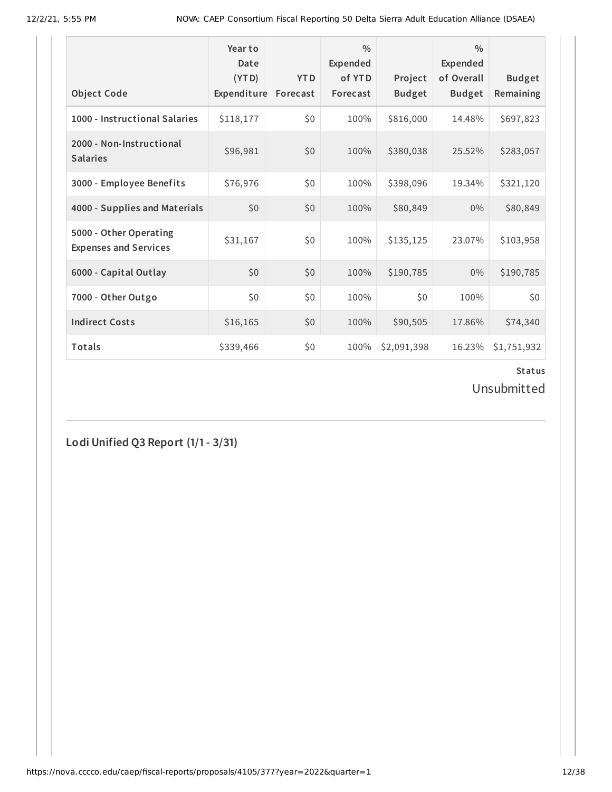| <b>Object Code</b>                                     | Year to<br>Date<br>(YTD)<br>Expenditure | <b>YTD</b><br>Forecast | $\frac{0}{0}$<br>Expended<br>of YTD<br>Forecast | Project<br><b>Budget</b> | $\frac{0}{0}$<br>Expended<br>of Overall<br><b>Budget</b> | <b>Budget</b><br>Remaining |
|--------------------------------------------------------|-----------------------------------------|------------------------|-------------------------------------------------|--------------------------|----------------------------------------------------------|----------------------------|
| 1000 - Instructional Salaries                          | \$118,177                               | \$0                    | 100%                                            | \$816,000                | 14.48%                                                   | \$697,823                  |
| 2000 - Non-Instructional<br><b>Salaries</b>            | \$96,981                                | \$0                    | 100%                                            | \$380,038                | 25.52%                                                   | \$283,057                  |
| 3000 - Employee Benefits                               | \$76,976                                | \$0                    | 100%                                            | \$398,096                | 19.34%                                                   | \$321,120                  |
| 4000 - Supplies and Materials                          | \$0                                     | \$0                    | 100%                                            | \$80,849                 | $0\%$                                                    | \$80,849                   |
| 5000 - Other Operating<br><b>Expenses and Services</b> | \$31,167                                | \$0                    | 100%                                            | \$135,125                | 23.07%                                                   | \$103,958                  |
| 6000 - Capital Outlay                                  | \$0                                     | \$0                    | 100%                                            | \$190,785                | $0\%$                                                    | \$190,785                  |
| 7000 - Other Outgo                                     | \$0                                     | \$0                    | 100%                                            | \$0                      | 100%                                                     | \$0                        |
| <b>Indirect Costs</b>                                  | \$16,165                                | \$0                    | 100%                                            | \$90,505                 | 17.86%                                                   | \$74,340                   |
| <b>Totals</b>                                          | \$339,466                               | \$0                    | 100%                                            | \$2,091,398              | 16.23%                                                   | \$1,751,932                |

Unsubmitted

**Lodi Unified Q3 Report (1/1- 3/31)**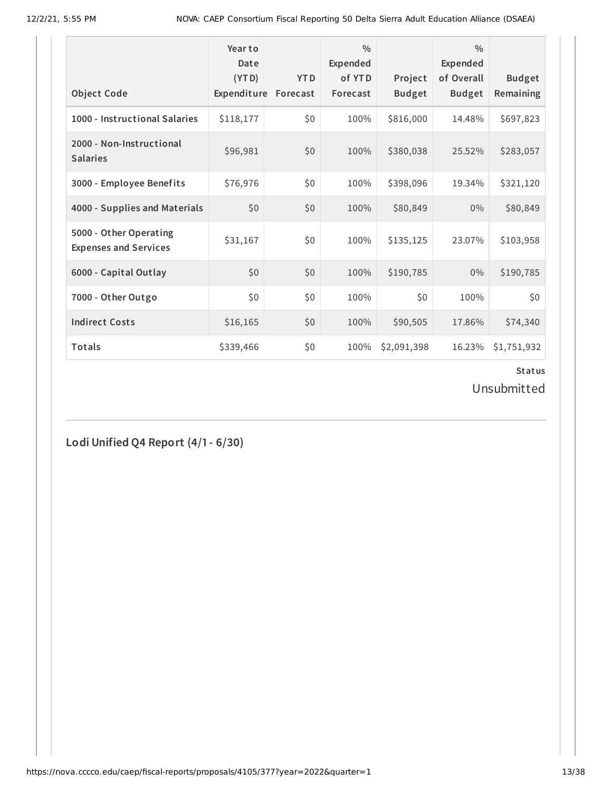| <b>Object Code</b>                                     | Year to<br>Date<br>(YTD)<br>Expenditure | <b>YTD</b><br>Forecast | $\frac{0}{0}$<br>Expended<br>of YTD<br>Forecast | Project<br><b>Budget</b> | $\frac{0}{0}$<br><b>Expended</b><br>of Overall<br><b>Budget</b> | <b>Budget</b><br>Remaining |
|--------------------------------------------------------|-----------------------------------------|------------------------|-------------------------------------------------|--------------------------|-----------------------------------------------------------------|----------------------------|
| 1000 - Instructional Salaries                          | \$118,177                               | \$0                    | 100%                                            | \$816,000                | 14.48%                                                          | \$697,823                  |
| 2000 - Non-Instructional<br><b>Salaries</b>            | \$96,981                                | \$0                    | 100%                                            | \$380,038                | 25.52%                                                          | \$283,057                  |
| 3000 - Employee Benefits                               | \$76,976                                | \$0                    | 100%                                            | \$398,096                | 19.34%                                                          | \$321,120                  |
| 4000 - Supplies and Materials                          | \$0                                     | \$0                    | 100%                                            | \$80,849                 | $0\%$                                                           | \$80,849                   |
| 5000 - Other Operating<br><b>Expenses and Services</b> | \$31,167                                | \$0                    | 100%                                            | \$135,125                | 23.07%                                                          | \$103,958                  |
| 6000 - Capital Outlay                                  | \$0                                     | \$0                    | 100%                                            | \$190,785                | $0\%$                                                           | \$190,785                  |
| 7000 - Other Outgo                                     | \$0\$                                   | \$0                    | 100%                                            | \$0                      | 100%                                                            | \$0                        |
| <b>Indirect Costs</b>                                  | \$16,165                                | \$0                    | 100%                                            | \$90,505                 | 17.86%                                                          | \$74,340                   |
| <b>Totals</b>                                          | \$339,466                               | \$0                    | 100%                                            | \$2,091,398              | 16.23%                                                          | \$1,751,932                |

Unsubmitted

**Lodi Unified Q4 Report (4/1- 6/30)**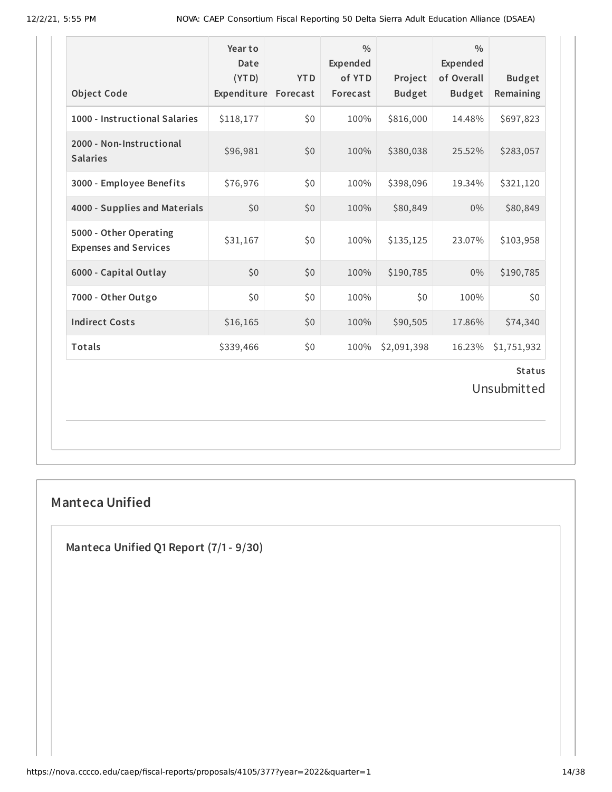| <b>Object Code</b>                                     | Year to<br>Date<br>(YTD)<br>Expenditure | <b>YTD</b><br>Forecast | $\frac{0}{0}$<br>Expended<br>of YTD<br>Forecast | Project<br><b>Budget</b> | $\frac{0}{0}$<br>Expended<br>of Overall<br><b>Budget</b> | <b>Budget</b><br>Remaining |
|--------------------------------------------------------|-----------------------------------------|------------------------|-------------------------------------------------|--------------------------|----------------------------------------------------------|----------------------------|
| 1000 - Instructional Salaries                          | \$118,177                               | \$0                    | 100%                                            | \$816,000                | 14.48%                                                   | \$697,823                  |
| 2000 - Non-Instructional<br><b>Salaries</b>            | \$96,981                                | \$0                    | 100%                                            | \$380,038                | 25.52%                                                   | \$283,057                  |
| 3000 - Employee Benefits                               | \$76,976                                | \$0                    | 100%                                            | \$398,096                | 19.34%                                                   | \$321,120                  |
| 4000 - Supplies and Materials                          | \$0                                     | \$0                    | 100%                                            | \$80,849                 | $0\%$                                                    | \$80,849                   |
| 5000 - Other Operating<br><b>Expenses and Services</b> | \$31,167                                | \$0                    | 100%                                            | \$135,125                | 23.07%                                                   | \$103,958                  |
| 6000 - Capital Outlay                                  | \$0                                     | \$0                    | 100%                                            | \$190,785                | $0\%$                                                    | \$190,785                  |
| 7000 - Other Outgo                                     | \$0                                     | \$0                    | 100%                                            | \$0                      | 100%                                                     | \$0\$                      |
| <b>Indirect Costs</b>                                  | \$16,165                                | \$0                    | 100%                                            | \$90,505                 | 17.86%                                                   | \$74,340                   |
| Totals                                                 | \$339,466                               | \$0                    | 100%                                            | \$2,091,398              | 16.23%                                                   | \$1,751,932                |
|                                                        |                                         |                        |                                                 |                          |                                                          | <b>Status</b>              |

Unsubmitted

# **Manteca Unified**

**Manteca Unified Q1 Report (7/1- 9/30)**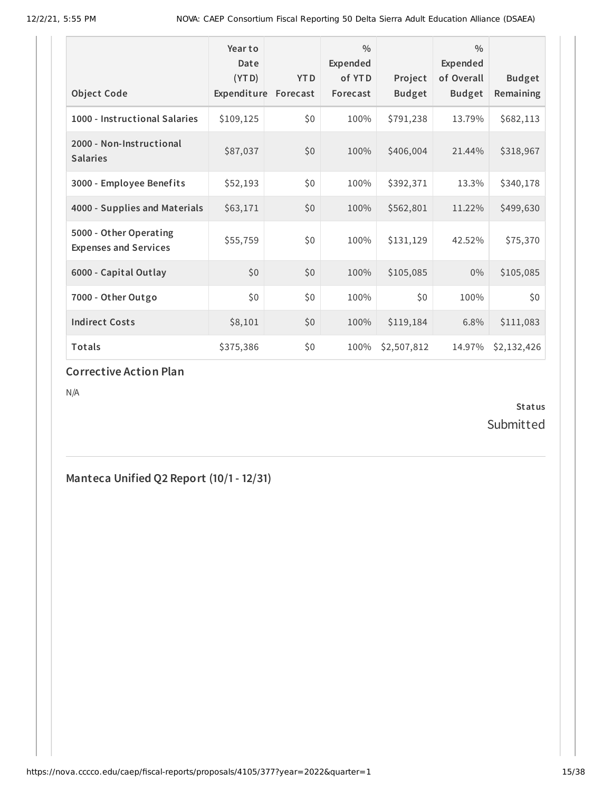| <b>Object Code</b>                                     | Year to<br>Date<br>(YTD)<br>Expenditure | <b>YTD</b><br>Forecast | $\frac{0}{0}$<br>Expended<br>of YTD<br>Forecast | Project<br><b>Budget</b> | 0/0<br><b>Expended</b><br>of Overall<br><b>Budget</b> | <b>Budget</b><br>Remaining |
|--------------------------------------------------------|-----------------------------------------|------------------------|-------------------------------------------------|--------------------------|-------------------------------------------------------|----------------------------|
| 1000 - Instructional Salaries                          | \$109,125                               | \$0                    | 100%                                            | \$791,238                | 13.79%                                                | \$682,113                  |
| 2000 - Non-Instructional<br><b>Salaries</b>            | \$87,037                                | \$0                    | 100%                                            | \$406,004                | 21.44%                                                | \$318,967                  |
| 3000 - Employee Benefits                               | \$52,193                                | \$0                    | 100%                                            | \$392,371                | 13.3%                                                 | \$340,178                  |
| 4000 - Supplies and Materials                          | \$63,171                                | \$0                    | 100%                                            | \$562,801                | 11.22%                                                | \$499,630                  |
| 5000 - Other Operating<br><b>Expenses and Services</b> | \$55,759                                | \$0                    | 100%                                            | \$131,129                | 42.52%                                                | \$75,370                   |
| 6000 - Capital Outlay                                  | \$0                                     | \$0                    | 100%                                            | \$105,085                | 0%                                                    | \$105,085                  |
| 7000 - Other Outgo                                     | \$0                                     | \$0                    | 100%                                            | \$0                      | 100%                                                  | \$0                        |
| <b>Indirect Costs</b>                                  | \$8,101                                 | \$0                    | 100%                                            | \$119,184                | 6.8%                                                  | \$111,083                  |
| <b>Totals</b>                                          | \$375,386                               | \$0                    | 100%                                            | \$2,507,812              | 14.97%                                                | \$2,132,426                |

#### **Corrective Action Plan**

N/A

**Status** Submitted

**Manteca Unified Q2 Report (10/1- 12/31)**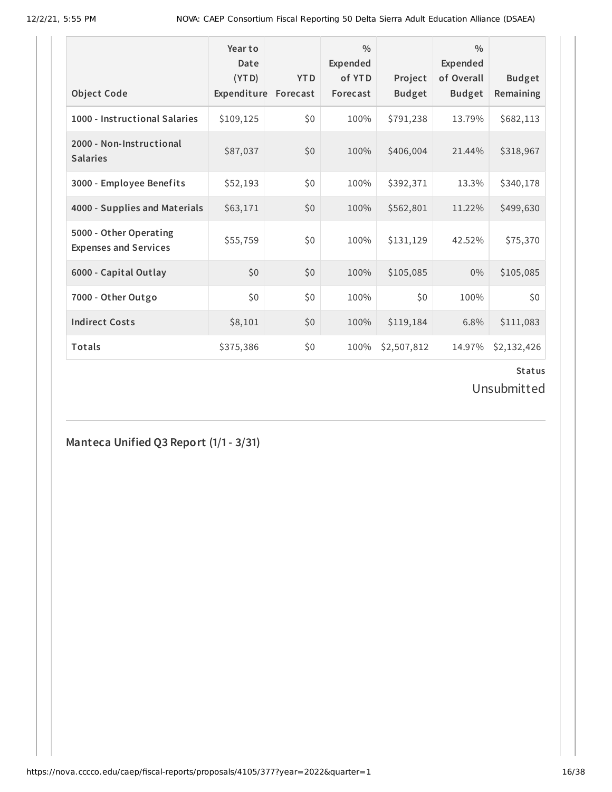| <b>Object Code</b>                                     | Year to<br>Date<br>(YTD)<br>Expenditure | <b>YTD</b><br>Forecast | $\frac{0}{0}$<br>Expended<br>of YTD<br>Forecast | Project<br><b>Budget</b> | $\frac{0}{0}$<br>Expended<br>of Overall<br><b>Budget</b> | <b>Budget</b><br>Remaining |
|--------------------------------------------------------|-----------------------------------------|------------------------|-------------------------------------------------|--------------------------|----------------------------------------------------------|----------------------------|
| 1000 - Instructional Salaries                          | \$109,125                               | \$0                    | 100%                                            | \$791,238                | 13.79%                                                   | \$682,113                  |
| 2000 - Non-Instructional<br><b>Salaries</b>            | \$87,037                                | \$0                    | 100%                                            | \$406,004                | 21.44%                                                   | \$318,967                  |
| 3000 - Employee Benefits                               | \$52,193                                | \$0                    | 100%                                            | \$392,371                | 13.3%                                                    | \$340,178                  |
| 4000 - Supplies and Materials                          | \$63,171                                | \$0                    | 100%                                            | \$562,801                | 11.22%                                                   | \$499,630                  |
| 5000 - Other Operating<br><b>Expenses and Services</b> | \$55,759                                | \$0                    | 100%                                            | \$131,129                | 42.52%                                                   | \$75,370                   |
| 6000 - Capital Outlay                                  | \$0                                     | \$0                    | 100%                                            | \$105,085                | $0\%$                                                    | \$105,085                  |
| 7000 - Other Outgo                                     | \$0\$                                   | \$0                    | 100%                                            | \$0                      | 100%                                                     | \$0                        |
| <b>Indirect Costs</b>                                  | \$8,101                                 | \$0                    | 100%                                            | \$119,184                | 6.8%                                                     | \$111,083                  |
| <b>Totals</b>                                          | \$375,386                               | \$0                    | 100%                                            | \$2,507,812              | 14.97%                                                   | \$2,132,426                |

Unsubmitted

**Manteca Unified Q3 Report (1/1- 3/31)**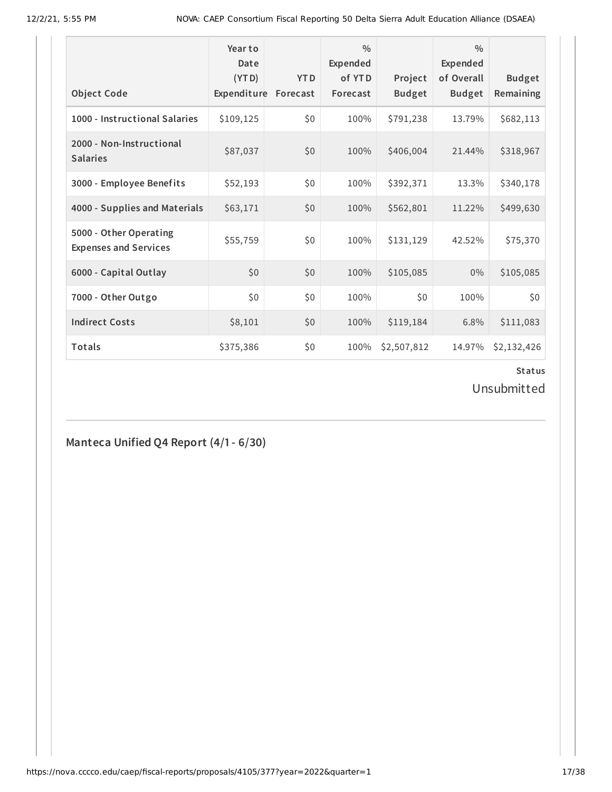|                                                        | Year to<br>Date<br>(YTD) | <b>YTD</b> | $\frac{0}{0}$<br>Expended<br>of YTD | Project       | $\frac{0}{0}$<br>Expended<br>of Overall | <b>Budget</b> |
|--------------------------------------------------------|--------------------------|------------|-------------------------------------|---------------|-----------------------------------------|---------------|
| <b>Object Code</b>                                     | Expenditure              | Forecast   | Forecast                            | <b>Budget</b> | <b>Budget</b>                           | Remaining     |
| 1000 - Instructional Salaries                          | \$109,125                | \$0        | 100%                                | \$791,238     | 13.79%                                  | \$682,113     |
| 2000 - Non-Instructional<br><b>Salaries</b>            | \$87,037                 | \$0        | 100%                                | \$406,004     | 21.44%                                  | \$318,967     |
| 3000 - Employee Benefits                               | \$52,193                 | \$0        | 100%                                | \$392,371     | 13.3%                                   | \$340,178     |
| 4000 - Supplies and Materials                          | \$63,171                 | \$0        | 100%                                | \$562,801     | 11.22%                                  | \$499,630     |
| 5000 - Other Operating<br><b>Expenses and Services</b> | \$55,759                 | \$0        | 100%                                | \$131,129     | 42.52%                                  | \$75,370      |
| 6000 - Capital Outlay                                  | \$0                      | \$0        | 100%                                | \$105,085     | $0\%$                                   | \$105,085     |
| 7000 - Other Outgo                                     | \$0\$                    | \$0        | 100%                                | \$0           | 100%                                    | \$0           |
| <b>Indirect Costs</b>                                  | \$8,101                  | \$0        | 100%                                | \$119,184     | 6.8%                                    | \$111,083     |
| <b>Totals</b>                                          | \$375,386                | \$0        | 100%                                | \$2,507,812   | 14.97%                                  | \$2,132,426   |

Unsubmitted

**Manteca Unified Q4 Report (4/1- 6/30)**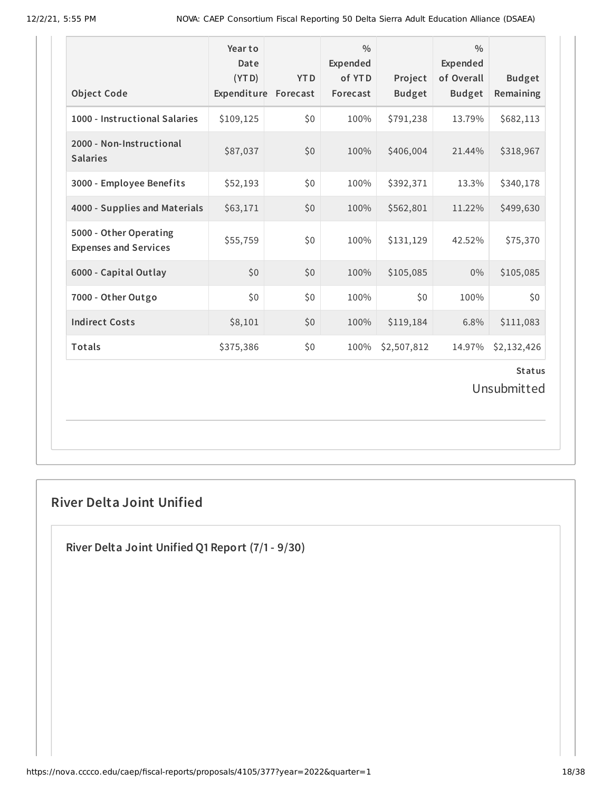| <b>Object Code</b>                                     | Year to<br>Date<br>(YTD)<br>Expenditure | <b>YTD</b><br>Forecast | $\frac{0}{0}$<br>Expended<br>of YTD<br>Forecast | Project<br><b>Budget</b> | $\frac{0}{0}$<br>Expended<br>of Overall<br><b>Budget</b> | <b>Budget</b><br>Remaining |  |  |
|--------------------------------------------------------|-----------------------------------------|------------------------|-------------------------------------------------|--------------------------|----------------------------------------------------------|----------------------------|--|--|
| 1000 - Instructional Salaries                          | \$109,125                               | \$0                    | 100%                                            | \$791,238                | 13.79%                                                   | \$682,113                  |  |  |
| 2000 - Non-Instructional<br><b>Salaries</b>            | \$87,037                                | \$0                    | 100%                                            | \$406,004                | 21.44%                                                   | \$318,967                  |  |  |
| 3000 - Employee Benefits                               | \$52,193                                | \$0                    | 100%                                            | \$392,371                | 13.3%                                                    | \$340,178                  |  |  |
| 4000 - Supplies and Materials                          | \$63,171                                | \$0                    | 100%                                            | \$562,801                | 11.22%                                                   | \$499,630                  |  |  |
| 5000 - Other Operating<br><b>Expenses and Services</b> | \$55,759                                | \$0                    | 100%                                            | \$131,129                | 42.52%                                                   | \$75,370                   |  |  |
| 6000 - Capital Outlay                                  | \$0                                     | \$0                    | 100%                                            | \$105,085                | 0%                                                       | \$105,085                  |  |  |
| 7000 - Other Outgo                                     | \$0                                     | \$0                    | 100%                                            | \$0                      | 100%                                                     | \$0                        |  |  |
| <b>Indirect Costs</b>                                  | \$8,101                                 | \$0                    | 100%                                            | \$119,184                | 6.8%                                                     | \$111,083                  |  |  |
| Totals                                                 | \$375,386                               | \$0                    | 100%                                            | \$2,507,812              | 14.97%                                                   | \$2,132,426                |  |  |
| <b>Status</b>                                          |                                         |                        |                                                 |                          |                                                          |                            |  |  |

Unsubmitted

# **River Delta Joint Unified**

**River Delta Joint Unified Q1 Report (7/1- 9/30)**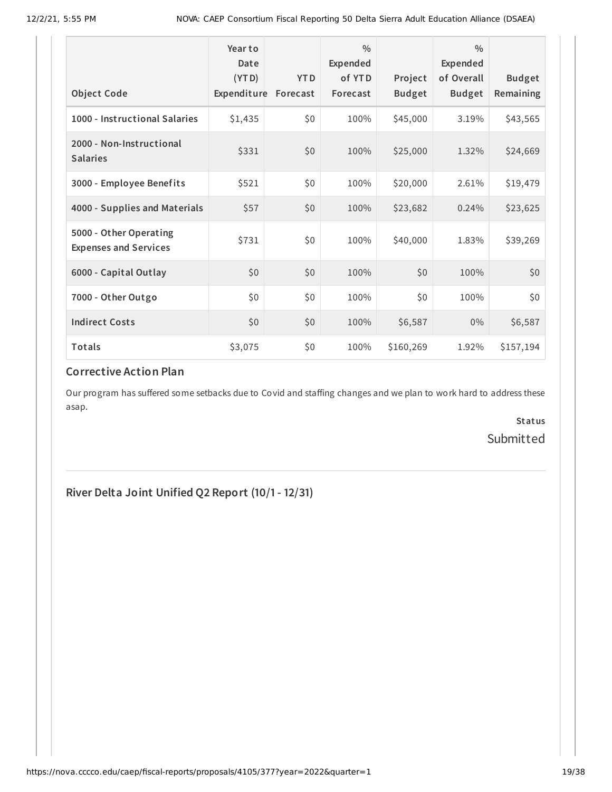|                                                        | Year to<br>Date<br>(YTD) | <b>YTD</b> | $\frac{0}{0}$<br>Expended<br>of YTD | Project       | $\frac{0}{0}$<br><b>Expended</b><br>of Overall | <b>Budget</b> |
|--------------------------------------------------------|--------------------------|------------|-------------------------------------|---------------|------------------------------------------------|---------------|
| <b>Object Code</b>                                     | Expenditure              | Forecast   | Forecast                            | <b>Budget</b> | <b>Budget</b>                                  | Remaining     |
| 1000 - Instructional Salaries                          | \$1,435                  | \$0        | 100%                                | \$45,000      | 3.19%                                          | \$43,565      |
| 2000 - Non-Instructional<br><b>Salaries</b>            | \$331                    | \$0        | 100%                                | \$25,000      | 1.32%                                          | \$24,669      |
| 3000 - Employee Benefits                               | \$521                    | \$0        | 100%                                | \$20,000      | 2.61%                                          | \$19,479      |
| 4000 - Supplies and Materials                          | \$57                     | \$0        | 100%                                | \$23,682      | 0.24%                                          | \$23,625      |
| 5000 - Other Operating<br><b>Expenses and Services</b> | \$731                    | \$0        | 100%                                | \$40,000      | 1.83%                                          | \$39,269      |
| 6000 - Capital Outlay                                  | \$0\$                    | \$0        | 100%                                | \$0           | 100%                                           | \$0           |
| 7000 - Other Outgo                                     | \$0                      | \$0        | 100%                                | \$0           | 100%                                           | \$0           |
| <b>Indirect Costs</b>                                  | \$0                      | \$0        | 100%                                | \$6,587       | 0%                                             | \$6,587       |
| Totals                                                 | \$3,075                  | \$0        | 100%                                | \$160,269     | 1.92%                                          | \$157,194     |

# **Corrective Action Plan**

Our program has suffered some setbacks due to Covid and staffing changes and we plan to work hard to address these asap.

> **Status** Submitted

# **River Delta Joint Unified Q2 Report (10/1- 12/31)**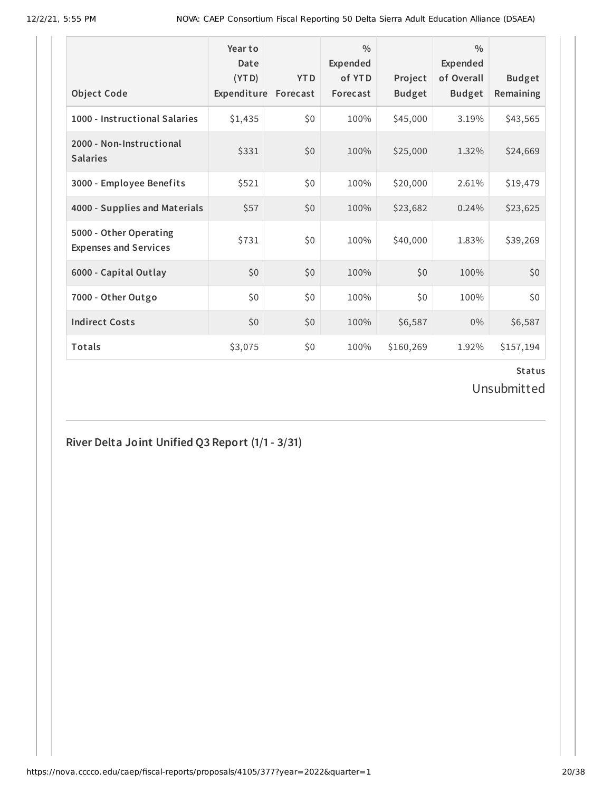| <b>Object Code</b>                                     | Year to<br>Date<br>(YTD)<br>Expenditure | <b>YTD</b><br>Forecast | $\frac{0}{0}$<br>Expended<br>of YTD<br>Forecast | Project<br><b>Budget</b> | $\frac{0}{0}$<br><b>Expended</b><br>of Overall<br><b>Budget</b> | <b>Budget</b><br>Remaining |
|--------------------------------------------------------|-----------------------------------------|------------------------|-------------------------------------------------|--------------------------|-----------------------------------------------------------------|----------------------------|
| 1000 - Instructional Salaries                          | \$1,435                                 | \$0                    | 100%                                            | \$45,000                 | 3.19%                                                           | \$43,565                   |
| 2000 - Non-Instructional<br><b>Salaries</b>            | \$331                                   | \$0                    | 100%                                            | \$25,000                 | 1.32%                                                           | \$24,669                   |
| 3000 - Employee Benefits                               | \$521                                   | \$0                    | 100%                                            | \$20,000                 | 2.61%                                                           | \$19,479                   |
| 4000 - Supplies and Materials                          | \$57                                    | \$0                    | 100%                                            | \$23,682                 | 0.24%                                                           | \$23,625                   |
| 5000 - Other Operating<br><b>Expenses and Services</b> | \$731                                   | \$0                    | 100%                                            | \$40,000                 | 1.83%                                                           | \$39,269                   |
| 6000 - Capital Outlay                                  | \$0                                     | \$0                    | 100%                                            | \$0                      | 100%                                                            | \$0                        |
| 7000 - Other Outgo                                     | \$0                                     | \$0                    | 100%                                            | \$0                      | 100%                                                            | \$0                        |
| <b>Indirect Costs</b>                                  | \$0                                     | \$0                    | 100%                                            | \$6,587                  | $0\%$                                                           | \$6,587                    |
| <b>Totals</b>                                          | \$3,075                                 | \$0                    | 100%                                            | \$160,269                | 1.92%                                                           | \$157,194                  |

Unsubmitted

# **River Delta Joint Unified Q3 Report (1/1- 3/31)**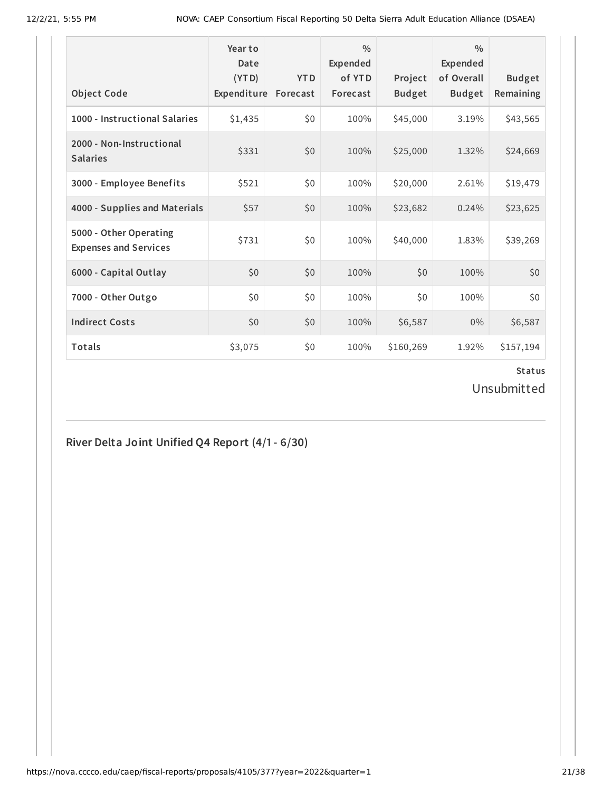| <b>Object Code</b>                                     | Year to<br>Date<br>(YTD)<br>Expenditure | <b>YTD</b><br>Forecast | $\frac{0}{0}$<br>Expended<br>of YTD<br>Forecast | Project<br><b>Budget</b> | $\frac{0}{0}$<br><b>Expended</b><br>of Overall<br><b>Budget</b> | <b>Budget</b><br>Remaining |
|--------------------------------------------------------|-----------------------------------------|------------------------|-------------------------------------------------|--------------------------|-----------------------------------------------------------------|----------------------------|
| 1000 - Instructional Salaries                          | \$1,435                                 | \$0                    | 100%                                            | \$45,000                 | 3.19%                                                           | \$43,565                   |
| 2000 - Non-Instructional<br><b>Salaries</b>            | \$331                                   | \$0                    | 100%                                            | \$25,000                 | 1.32%                                                           | \$24,669                   |
| 3000 - Employee Benefits                               | \$521                                   | \$0                    | 100%                                            | \$20,000                 | 2.61%                                                           | \$19,479                   |
| 4000 - Supplies and Materials                          | \$57                                    | \$0                    | 100%                                            | \$23,682                 | 0.24%                                                           | \$23,625                   |
| 5000 - Other Operating<br><b>Expenses and Services</b> | \$731                                   | \$0                    | 100%                                            | \$40,000                 | 1.83%                                                           | \$39,269                   |
| 6000 - Capital Outlay                                  | \$0                                     | \$0                    | 100%                                            | \$0                      | 100%                                                            | \$0                        |
| 7000 - Other Outgo                                     | \$0                                     | \$0                    | 100%                                            | \$0                      | 100%                                                            | \$0                        |
| <b>Indirect Costs</b>                                  | \$0                                     | \$0                    | 100%                                            | \$6,587                  | $0\%$                                                           | \$6,587                    |
| <b>Totals</b>                                          | \$3,075                                 | \$0                    | 100%                                            | \$160,269                | 1.92%                                                           | \$157,194                  |

Unsubmitted

# **River Delta Joint Unified Q4 Report (4/1- 6/30)**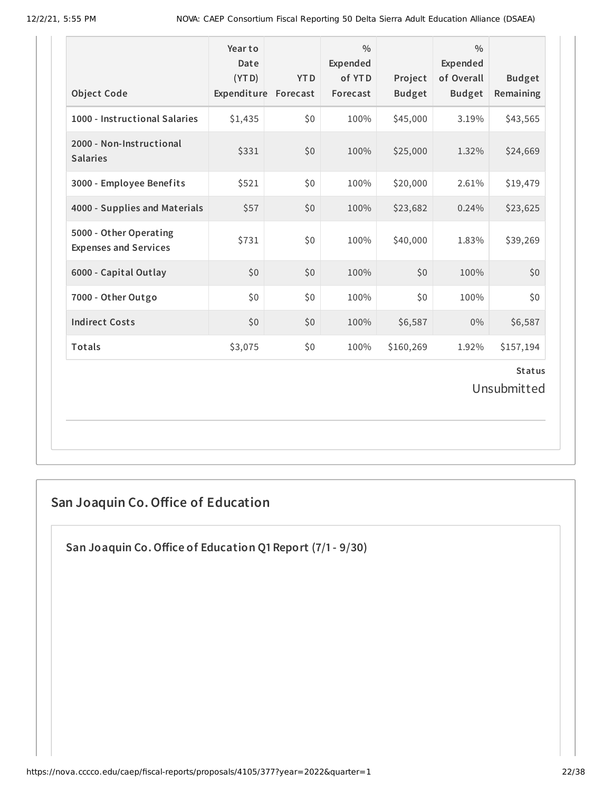| <b>Object Code</b>                                     | Year to<br>Date<br>(YTD)<br>Expenditure Forecast | <b>YTD</b> | $\frac{0}{0}$<br>Expended<br>of YTD<br>Forecast | Project<br><b>Budget</b> | $\frac{0}{0}$<br>Expended<br>of Overall<br><b>Budget</b> | <b>Budget</b><br>Remaining |  |
|--------------------------------------------------------|--------------------------------------------------|------------|-------------------------------------------------|--------------------------|----------------------------------------------------------|----------------------------|--|
| 1000 - Instructional Salaries                          | \$1,435                                          | \$0        | 100%                                            | \$45,000                 | 3.19%                                                    | \$43,565                   |  |
| 2000 - Non-Instructional<br><b>Salaries</b>            | \$331                                            | \$0        | 100%                                            | \$25,000                 | 1.32%                                                    | \$24,669                   |  |
| 3000 - Employee Benefits                               | \$521                                            | \$0        | 100%                                            | \$20,000                 | 2.61%                                                    | \$19,479                   |  |
| 4000 - Supplies and Materials                          | \$57                                             | \$0        | 100%                                            | \$23,682                 | 0.24%                                                    | \$23,625                   |  |
| 5000 - Other Operating<br><b>Expenses and Services</b> | \$731                                            | \$0        | 100%                                            | \$40,000                 | 1.83%                                                    | \$39,269                   |  |
| 6000 - Capital Outlay                                  | \$0                                              | \$0        | 100%                                            | \$0                      | 100%                                                     | \$0                        |  |
| 7000 - Other Outgo                                     | \$0                                              | \$0        | 100%                                            | \$0                      | 100%                                                     | \$0                        |  |
| <b>Indirect Costs</b>                                  | \$0                                              | \$0        | 100%                                            | \$6,587                  | $0\%$                                                    | \$6,587                    |  |
| Totals                                                 | \$3,075                                          | \$0        | 100%                                            | \$160,269                | 1.92%                                                    | \$157,194                  |  |
| <b>Status</b><br>Unsubmitted                           |                                                  |            |                                                 |                          |                                                          |                            |  |

# **San Joaquin Co.Office of Education**

**San Joaquin Co.Office of Education Q1 Report (7/1- 9/30)**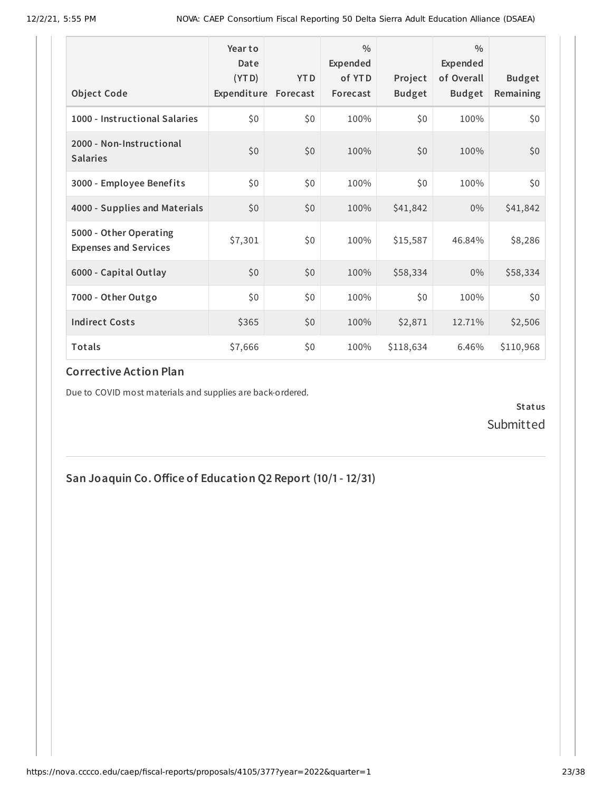| <b>Object Code</b>                                     | Year to<br>Date<br>(YTD)<br>Expenditure | <b>YTD</b><br>Forecast | $\frac{0}{0}$<br>Expended<br>of YTD<br>Forecast | Project<br><b>Budget</b> | $\frac{0}{0}$<br>Expended<br>of Overall<br><b>Budget</b> | <b>Budget</b><br>Remaining |
|--------------------------------------------------------|-----------------------------------------|------------------------|-------------------------------------------------|--------------------------|----------------------------------------------------------|----------------------------|
| 1000 - Instructional Salaries                          | \$0                                     | \$0                    | 100%                                            | \$0                      | 100%                                                     | \$0                        |
|                                                        |                                         |                        |                                                 |                          |                                                          |                            |
| 2000 - Non-Instructional<br><b>Salaries</b>            | \$0                                     | \$0                    | 100%                                            | \$0                      | 100%                                                     | \$0                        |
| 3000 - Employee Benefits                               | \$0                                     | \$0                    | 100%                                            | \$0                      | 100%                                                     | \$0                        |
| 4000 - Supplies and Materials                          | \$0                                     | \$0                    | 100%                                            | \$41,842                 | $0\%$                                                    | \$41,842                   |
| 5000 - Other Operating<br><b>Expenses and Services</b> | \$7,301                                 | \$0                    | 100%                                            | \$15,587                 | 46.84%                                                   | \$8,286                    |
| 6000 - Capital Outlay                                  | \$0                                     | \$0                    | 100%                                            | \$58,334                 | $0\%$                                                    | \$58,334                   |
| 7000 - Other Outgo                                     | \$0\$                                   | \$0                    | 100%                                            | \$0                      | 100%                                                     | \$0                        |
| <b>Indirect Costs</b>                                  | \$365                                   | \$0                    | 100%                                            | \$2,871                  | 12.71%                                                   | \$2,506                    |
| <b>Totals</b>                                          | \$7,666                                 | \$0                    | 100%                                            | \$118,634                | 6.46%                                                    | \$110,968                  |

#### **Corrective Action Plan**

Due to COVID most materials and supplies are back-ordered.

**Status** Submitted

**San Joaquin Co.Office of Education Q2 Report (10/1- 12/31)**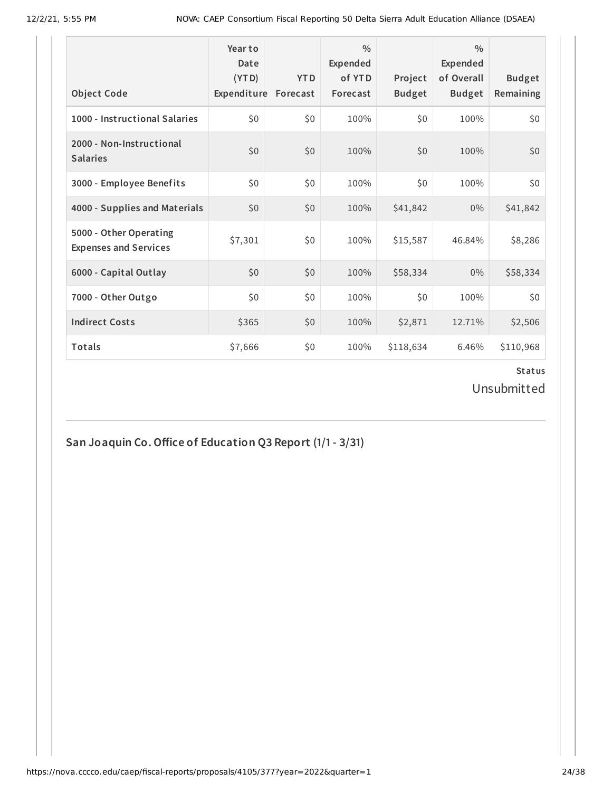| <b>Object Code</b>                                     | Year to<br>Date<br>(YTD)<br>Expenditure | <b>YTD</b><br>Forecast | $\frac{0}{0}$<br>Expended<br>of YTD<br>Forecast | Project<br><b>Budget</b> | $\frac{0}{0}$<br>Expended<br>of Overall<br><b>Budget</b> | <b>Budget</b><br>Remaining |
|--------------------------------------------------------|-----------------------------------------|------------------------|-------------------------------------------------|--------------------------|----------------------------------------------------------|----------------------------|
| 1000 - Instructional Salaries                          | \$0                                     | \$0                    | 100%                                            | \$0                      | 100%                                                     | \$0\$                      |
| 2000 - Non-Instructional<br><b>Salaries</b>            | \$0                                     | \$0                    | 100%                                            | \$0\$                    | 100%                                                     | \$0                        |
| 3000 - Employee Benefits                               | \$0                                     | \$0                    | 100%                                            | \$0                      | 100%                                                     | \$0                        |
| 4000 - Supplies and Materials                          | \$0                                     | \$0                    | 100%                                            | \$41,842                 | $0\%$                                                    | \$41,842                   |
| 5000 - Other Operating<br><b>Expenses and Services</b> | \$7,301                                 | \$0                    | 100%                                            | \$15,587                 | 46.84%                                                   | \$8,286                    |
| 6000 - Capital Outlay                                  | \$0                                     | \$0                    | 100%                                            | \$58,334                 | $0\%$                                                    | \$58,334                   |
| 7000 - Other Outgo                                     | \$0                                     | \$0                    | 100%                                            | \$0                      | 100%                                                     | \$0                        |
| <b>Indirect Costs</b>                                  | \$365                                   | \$0                    | 100%                                            | \$2,871                  | 12.71%                                                   | \$2,506                    |
| Totals                                                 | \$7,666                                 | \$0                    | 100%                                            | \$118,634                | 6.46%                                                    | \$110,968                  |

Unsubmitted

**San Joaquin Co.Office of Education Q3 Report (1/1- 3/31)**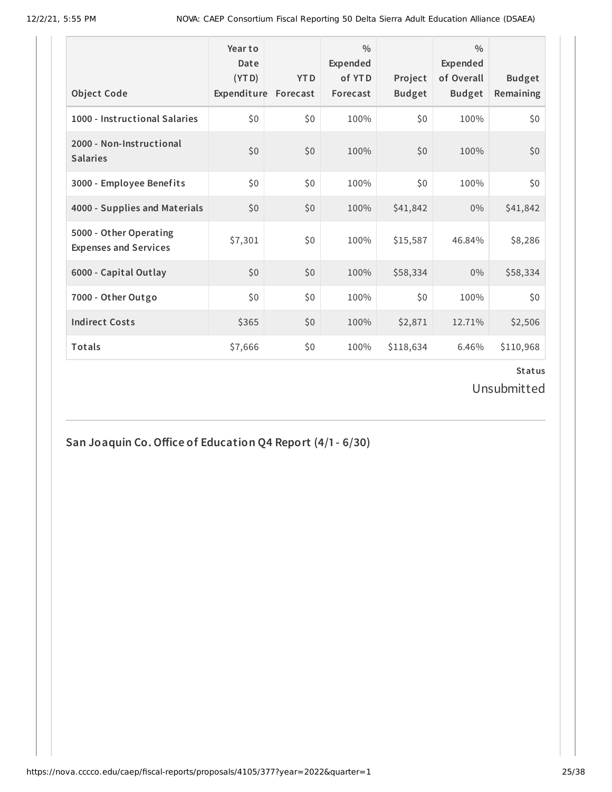| <b>Object Code</b>                                     | Year to<br>Date<br>(YTD)<br>Expenditure | <b>YTD</b><br>Forecast | $\frac{0}{0}$<br>Expended<br>of YTD<br>Forecast | Project<br><b>Budget</b> | $\frac{0}{0}$<br><b>Expended</b><br>of Overall<br><b>Budget</b> | <b>Budget</b><br>Remaining |
|--------------------------------------------------------|-----------------------------------------|------------------------|-------------------------------------------------|--------------------------|-----------------------------------------------------------------|----------------------------|
| 1000 - Instructional Salaries                          | \$0                                     | \$0                    | 100%                                            | \$0                      | 100%                                                            | \$0                        |
| 2000 - Non-Instructional<br><b>Salaries</b>            | \$0                                     | \$0                    | 100%                                            | \$0                      | 100%                                                            | \$0                        |
| 3000 - Employee Benefits                               | \$0                                     | \$0                    | 100%                                            | \$0                      | 100%                                                            | \$0                        |
| 4000 - Supplies and Materials                          | \$0\$                                   | \$0                    | 100%                                            | \$41,842                 | $0\%$                                                           | \$41,842                   |
| 5000 - Other Operating<br><b>Expenses and Services</b> | \$7,301                                 | \$0                    | 100%                                            | \$15,587                 | 46.84%                                                          | \$8,286                    |
| 6000 - Capital Outlay                                  | \$0                                     | \$0                    | 100%                                            | \$58,334                 | $0\%$                                                           | \$58,334                   |
| 7000 - Other Outgo                                     | \$0                                     | \$0                    | 100%                                            | \$0                      | 100%                                                            | \$0                        |
| <b>Indirect Costs</b>                                  | \$365                                   | \$0                    | 100%                                            | \$2,871                  | 12.71%                                                          | \$2,506                    |
| <b>Totals</b>                                          | \$7,666                                 | \$0                    | 100%                                            | \$118,634                | 6.46%                                                           | \$110,968                  |

Unsubmitted

**San Joaquin Co.Office of Education Q4 Report (4/1- 6/30)**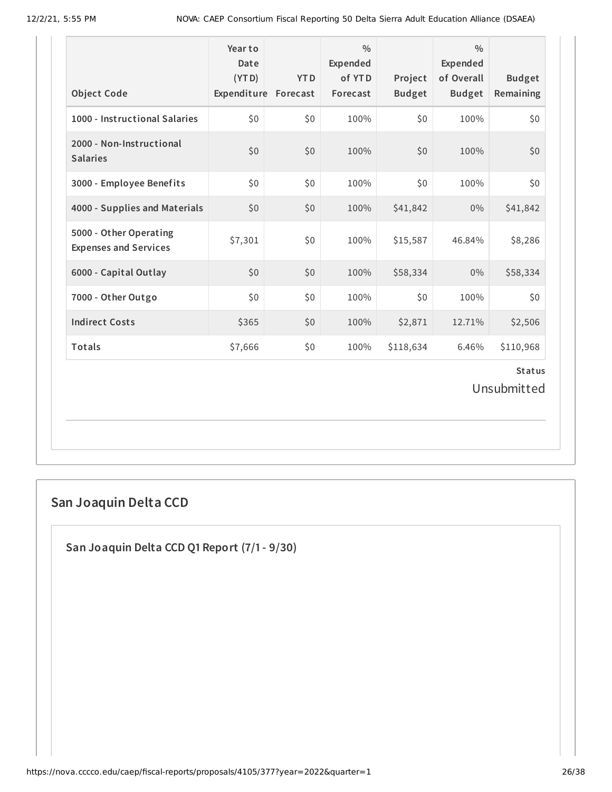| <b>Object Code</b>                                     | Yearto<br>Date<br>(YTD)<br>Expenditure Forecast | <b>YTD</b> | $\frac{0}{0}$<br>Expended<br>of YTD<br>Forecast | Project<br><b>Budget</b> | $\frac{0}{0}$<br>Expended<br>of Overall<br><b>Budget</b> | <b>Budget</b><br>Remaining |  |  |
|--------------------------------------------------------|-------------------------------------------------|------------|-------------------------------------------------|--------------------------|----------------------------------------------------------|----------------------------|--|--|
| 1000 - Instructional Salaries                          | \$0                                             | \$0        | 100%                                            | \$0                      | 100%                                                     | \$0                        |  |  |
| 2000 - Non-Instructional<br><b>Salaries</b>            | \$0                                             | \$0        | 100%                                            | \$0                      | 100%                                                     | \$0                        |  |  |
| 3000 - Employee Benefits                               | \$0                                             | \$0        | 100%                                            | \$0                      | 100%                                                     | \$0                        |  |  |
| 4000 - Supplies and Materials                          | \$0                                             | \$0        | 100%                                            | \$41,842                 | 0%                                                       | \$41,842                   |  |  |
| 5000 - Other Operating<br><b>Expenses and Services</b> | \$7,301                                         | \$0        | 100%                                            | \$15,587                 | 46.84%                                                   | \$8,286                    |  |  |
| 6000 - Capital Outlay                                  | \$0                                             | \$0        | 100%                                            | \$58,334                 | 0%                                                       | \$58,334                   |  |  |
| 7000 - Other Outgo                                     | \$0                                             | \$0        | 100%                                            | \$0                      | 100%                                                     | \$0                        |  |  |
| <b>Indirect Costs</b>                                  | \$365                                           | \$0        | 100%                                            | \$2,871                  | 12.71%                                                   | \$2,506                    |  |  |
| Totals                                                 | \$7,666                                         | \$0        | 100%                                            | \$118,634                | 6.46%                                                    | \$110,968                  |  |  |
| <b>Status</b><br>Unsubmitted                           |                                                 |            |                                                 |                          |                                                          |                            |  |  |

# **San Joaquin Delta CCD**

**San Joaquin Delta CCD Q1 Report (7/1- 9/30)**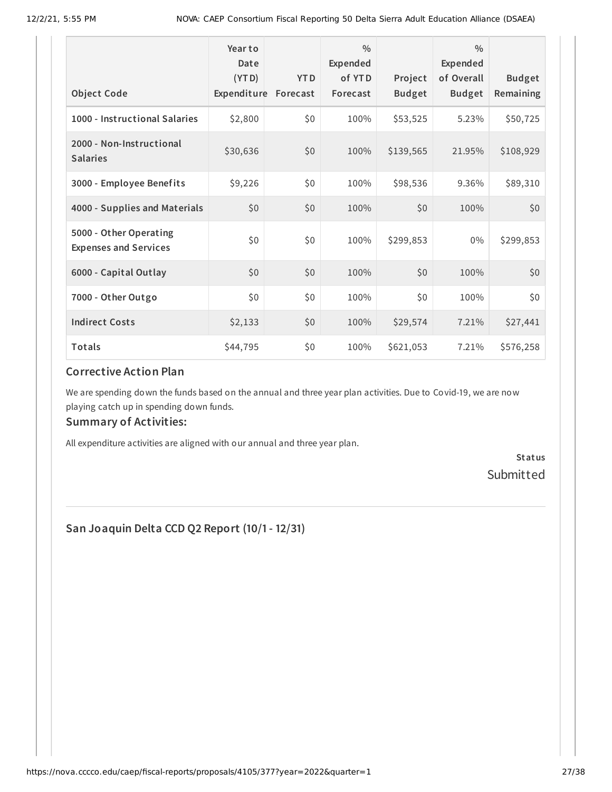|                                                        | Year to<br>Date<br>(YTD) | <b>YTD</b> | $\frac{0}{0}$<br>Expended<br>of YTD | Project       | $\frac{0}{0}$<br><b>Expended</b><br>of Overall | <b>Budget</b> |
|--------------------------------------------------------|--------------------------|------------|-------------------------------------|---------------|------------------------------------------------|---------------|
| <b>Object Code</b>                                     | Expenditure Forecast     |            | Forecast                            | <b>Budget</b> | <b>Budget</b>                                  | Remaining     |
| 1000 - Instructional Salaries                          | \$2,800                  | \$0        | 100%                                | \$53,525      | 5.23%                                          | \$50,725      |
| 2000 - Non-Instructional<br><b>Salaries</b>            | \$30,636                 | \$0        | 100%                                | \$139,565     | 21.95%                                         | \$108,929     |
| 3000 - Employee Benefits                               | \$9,226                  | \$0        | 100%                                | \$98,536      | 9.36%                                          | \$89,310      |
| 4000 - Supplies and Materials                          | \$0                      | \$0        | 100%                                | \$0           | 100%                                           | \$0           |
| 5000 - Other Operating<br><b>Expenses and Services</b> | \$0                      | \$0        | 100%                                | \$299,853     | $0\%$                                          | \$299,853     |
| 6000 - Capital Outlay                                  | \$0                      | \$0        | 100%                                | \$0           | 100%                                           | \$0           |
| 7000 - Other Outgo                                     | \$0                      | \$0        | 100%                                | \$0           | 100%                                           | \$0           |
| <b>Indirect Costs</b>                                  | \$2,133                  | \$0        | 100%                                | \$29,574      | 7.21%                                          | \$27,441      |
| Totals                                                 | \$44,795                 | \$0        | 100%                                | \$621,053     | 7.21%                                          | \$576,258     |

#### **Corrective Action Plan**

We are spending down the funds based on the annual and three year plan activities. Due to Covid-19, we are now playing catch up in spending down funds.

#### **Summary of Activities:**

All expenditure activities are aligned with our annual and three year plan.

**Status** Submitted

**San Joaquin Delta CCD Q2 Report (10/1- 12/31)**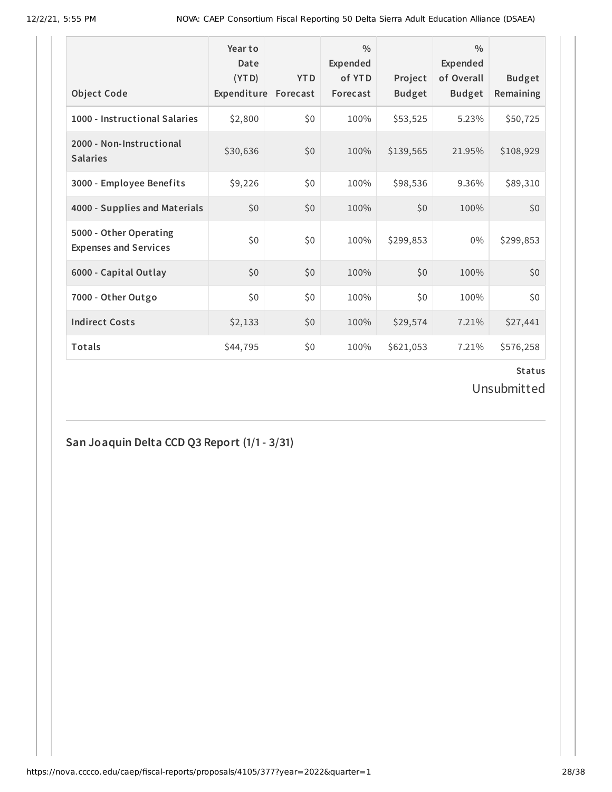| <b>Object Code</b>                                     | Year to<br>Date<br>(YTD)<br>Expenditure | <b>YTD</b><br>Forecast | $\frac{0}{0}$<br>Expended<br>of YTD<br>Forecast | Project<br><b>Budget</b> | $\frac{0}{0}$<br>Expended<br>of Overall<br><b>Budget</b> | <b>Budget</b><br>Remaining |
|--------------------------------------------------------|-----------------------------------------|------------------------|-------------------------------------------------|--------------------------|----------------------------------------------------------|----------------------------|
| 1000 - Instructional Salaries                          | \$2,800                                 | \$0                    | 100%                                            | \$53,525                 | 5.23%                                                    | \$50,725                   |
| 2000 - Non-Instructional<br><b>Salaries</b>            | \$30,636                                | \$0                    | 100%                                            | \$139,565                | 21.95%                                                   | \$108,929                  |
| 3000 - Employee Benefits                               | \$9,226                                 | \$0                    | 100%                                            | \$98,536                 | 9.36%                                                    | \$89,310                   |
| 4000 - Supplies and Materials                          | \$0                                     | \$0                    | 100%                                            | \$0                      | 100%                                                     | \$0                        |
| 5000 - Other Operating<br><b>Expenses and Services</b> | \$0                                     | \$0                    | 100%                                            | \$299,853                | $0\%$                                                    | \$299,853                  |
| 6000 - Capital Outlay                                  | \$0                                     | \$0                    | 100%                                            | \$0                      | 100%                                                     | \$0                        |
| 7000 - Other Outgo                                     | \$0                                     | \$0                    | 100%                                            | \$0                      | 100%                                                     | \$0                        |
| <b>Indirect Costs</b>                                  | \$2,133                                 | \$0                    | 100%                                            | \$29,574                 | 7.21%                                                    | \$27,441                   |
| <b>Totals</b>                                          | \$44,795                                | \$0                    | 100%                                            | \$621,053                | 7.21%                                                    | \$576,258                  |

Unsubmitted

# **San Joaquin Delta CCD Q3 Report (1/1- 3/31)**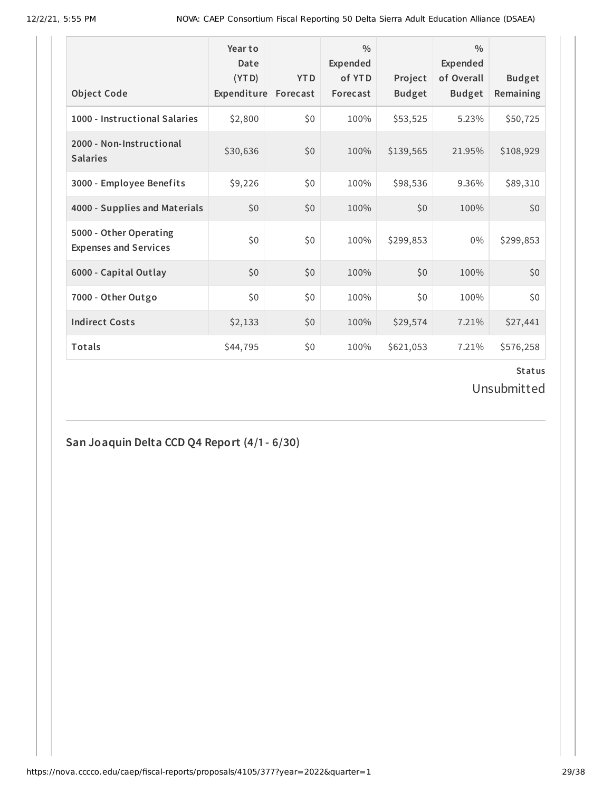| <b>Object Code</b>                                     | Year to<br>Date<br>(YTD)<br>Expenditure | <b>YTD</b><br>Forecast | $\frac{0}{0}$<br><b>Expended</b><br>of YTD<br>Forecast | Project<br><b>Budget</b> | $\frac{0}{0}$<br><b>Expended</b><br>of Overall<br><b>Budget</b> | <b>Budget</b><br>Remaining |
|--------------------------------------------------------|-----------------------------------------|------------------------|--------------------------------------------------------|--------------------------|-----------------------------------------------------------------|----------------------------|
| 1000 - Instructional Salaries                          | \$2,800                                 | \$0                    | 100%                                                   | \$53,525                 | 5.23%                                                           | \$50,725                   |
| 2000 - Non-Instructional<br><b>Salaries</b>            | \$30,636                                | \$0                    | 100%                                                   | \$139,565                | 21.95%                                                          | \$108,929                  |
| 3000 - Employee Benefits                               | \$9,226                                 | \$0                    | 100%                                                   | \$98,536                 | 9.36%                                                           | \$89,310                   |
| 4000 - Supplies and Materials                          | \$0                                     | \$0                    | 100%                                                   | \$0                      | 100%                                                            | \$0                        |
| 5000 - Other Operating<br><b>Expenses and Services</b> | \$0                                     | \$0                    | 100%                                                   | \$299,853                | $0\%$                                                           | \$299,853                  |
| 6000 - Capital Outlay                                  | \$0                                     | \$0                    | 100%                                                   | \$0                      | 100%                                                            | \$0                        |
| 7000 - Other Outgo                                     | \$0                                     | \$0                    | 100%                                                   | \$0                      | 100%                                                            | \$0                        |
| <b>Indirect Costs</b>                                  | \$2,133                                 | \$0                    | 100%                                                   | \$29,574                 | 7.21%                                                           | \$27,441                   |
| <b>Totals</b>                                          | \$44,795                                | \$0                    | 100%                                                   | \$621,053                | 7.21%                                                           | \$576,258                  |

Unsubmitted

# **San Joaquin Delta CCD Q4 Report (4/1- 6/30)**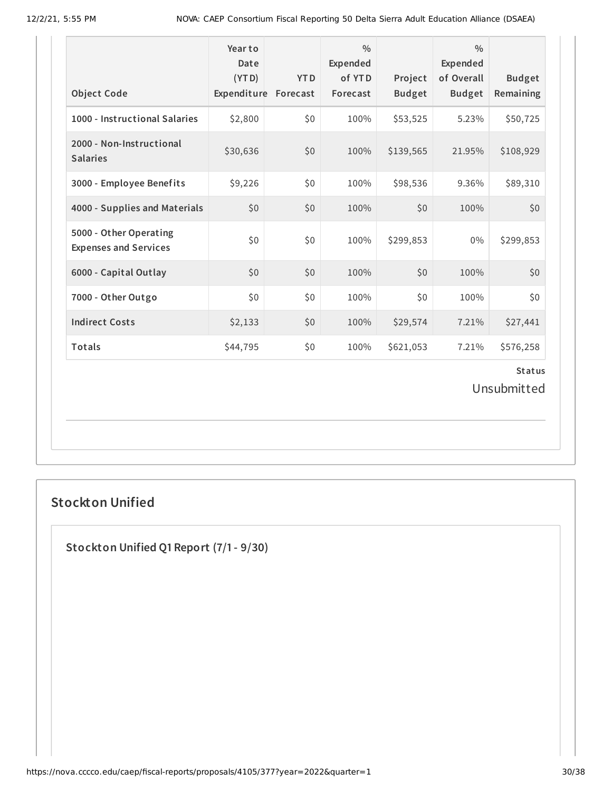| Object Code                                            | Year to<br>Date<br>(YTD)<br>Expenditure | <b>YTD</b><br>Forecast | $\frac{0}{0}$<br>Expended<br>of YTD<br>Forecast | Project<br><b>Budget</b> | $\frac{0}{0}$<br>Expended<br>of Overall<br><b>Budget</b> | <b>Budget</b><br>Remaining |  |  |
|--------------------------------------------------------|-----------------------------------------|------------------------|-------------------------------------------------|--------------------------|----------------------------------------------------------|----------------------------|--|--|
| 1000 - Instructional Salaries                          | \$2,800                                 | \$0                    | 100%                                            | \$53,525                 | 5.23%                                                    | \$50,725                   |  |  |
| 2000 - Non-Instructional<br><b>Salaries</b>            | \$30,636                                | \$0                    | 100%                                            | \$139,565                | 21.95%                                                   | \$108,929                  |  |  |
| 3000 - Employee Benefits                               | \$9,226                                 | \$0                    | 100%                                            | \$98,536                 | 9.36%                                                    | \$89,310                   |  |  |
| 4000 - Supplies and Materials                          | \$0                                     | \$0                    | 100%                                            | \$0                      | 100%                                                     | \$0                        |  |  |
| 5000 - Other Operating<br><b>Expenses and Services</b> | \$0                                     | \$0                    | 100%                                            | \$299,853                | 0%                                                       | \$299,853                  |  |  |
| 6000 - Capital Outlay                                  | \$0                                     | \$0                    | 100%                                            | \$0                      | 100%                                                     | \$0                        |  |  |
| 7000 - Other Outgo                                     | \$0                                     | \$0                    | 100%                                            | \$0                      | 100%                                                     | \$0                        |  |  |
| <b>Indirect Costs</b>                                  | \$2,133                                 | \$0                    | 100%                                            | \$29,574                 | 7.21%                                                    | \$27,441                   |  |  |
| Totals                                                 | \$44,795                                | \$0                    | 100%                                            | \$621,053                | 7.21%                                                    | \$576,258                  |  |  |
| <b>Status</b><br>Unsubmitted                           |                                         |                        |                                                 |                          |                                                          |                            |  |  |

# **Stockton Unified**

**Stockton Unified Q1 Report (7/1- 9/30)**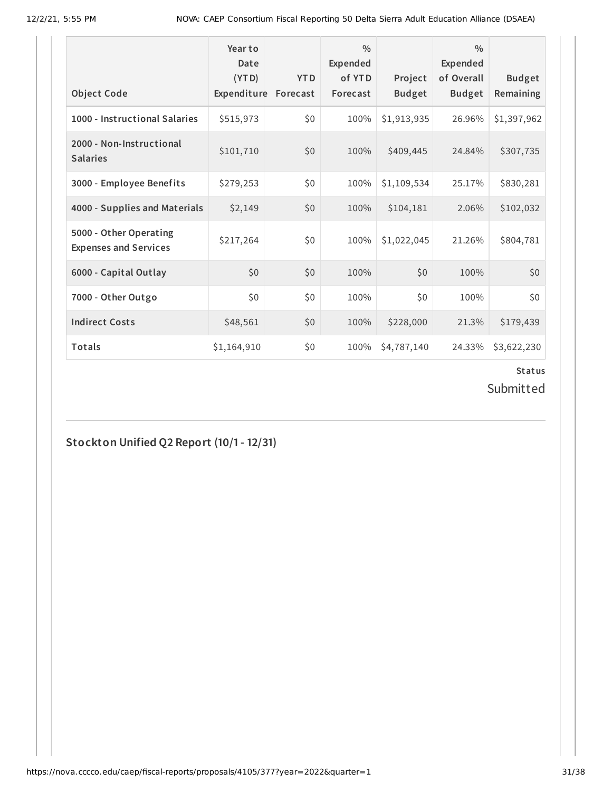| <b>Object Code</b>                                     | Year to<br>Date<br>(YTD)<br>Expenditure | <b>YTD</b><br>Forecast | $\frac{0}{0}$<br>Expended<br>of YTD<br>Forecast | Project<br><b>Budget</b> | $\frac{0}{0}$<br>Expended<br>of Overall<br><b>Budget</b> | <b>Budget</b><br>Remaining |
|--------------------------------------------------------|-----------------------------------------|------------------------|-------------------------------------------------|--------------------------|----------------------------------------------------------|----------------------------|
| 1000 - Instructional Salaries                          | \$515,973                               | \$0                    | 100%                                            | \$1,913,935              | 26.96%                                                   | \$1,397,962                |
| 2000 - Non-Instructional<br><b>Salaries</b>            | \$101,710                               | \$0                    | 100%                                            | \$409,445                | 24.84%                                                   | \$307,735                  |
| 3000 - Employee Benefits                               | \$279,253                               | \$0                    | 100%                                            | \$1,109,534              | 25.17%                                                   | \$830,281                  |
| 4000 - Supplies and Materials                          | \$2,149                                 | \$0                    | 100%                                            | \$104,181                | 2.06%                                                    | \$102,032                  |
| 5000 - Other Operating<br><b>Expenses and Services</b> | \$217,264                               | \$0                    | 100%                                            | \$1,022,045              | 21.26%                                                   | \$804,781                  |
| 6000 - Capital Outlay                                  | \$0                                     | \$0                    | 100%                                            | \$0                      | 100%                                                     | \$0                        |
| 7000 - Other Outgo                                     | \$0\$                                   | \$0                    | 100%                                            | \$0                      | 100%                                                     | \$0                        |
| <b>Indirect Costs</b>                                  | \$48,561                                | \$0                    | 100%                                            | \$228,000                | 21.3%                                                    | \$179,439                  |
| <b>Totals</b>                                          | \$1,164,910                             | \$0                    | 100%                                            | \$4,787,140              | 24.33%                                                   | \$3,622,230                |

Submitted

**Stockton Unified Q2 Report (10/1- 12/31)**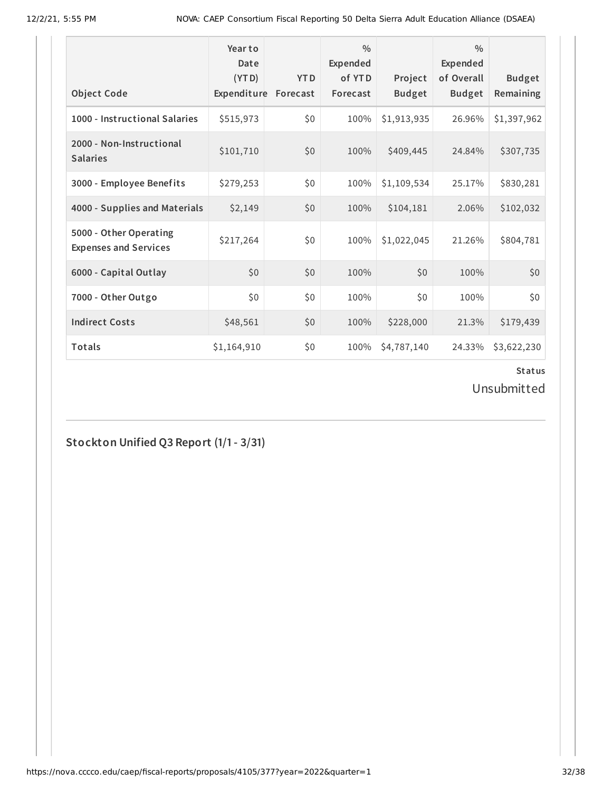| <b>Object Code</b>                                     | Year to<br>Date<br>(YTD)<br>Expenditure | <b>YTD</b><br>Forecast | $\frac{0}{0}$<br>Expended<br>of YTD<br>Forecast | Project<br><b>Budget</b> | $\frac{0}{0}$<br>Expended<br>of Overall<br><b>Budget</b> | <b>Budget</b><br>Remaining |
|--------------------------------------------------------|-----------------------------------------|------------------------|-------------------------------------------------|--------------------------|----------------------------------------------------------|----------------------------|
| 1000 - Instructional Salaries                          | \$515,973                               | \$0                    | 100%                                            | \$1,913,935              | 26.96%                                                   | \$1,397,962                |
| 2000 - Non-Instructional<br><b>Salaries</b>            | \$101,710                               | \$0                    | 100%                                            | \$409,445                | 24.84%                                                   | \$307,735                  |
| 3000 - Employee Benefits                               | \$279,253                               | \$0                    | 100%                                            | \$1,109,534              | 25.17%                                                   | \$830,281                  |
| 4000 - Supplies and Materials                          | \$2,149                                 | \$0                    | 100%                                            | \$104,181                | 2.06%                                                    | \$102,032                  |
| 5000 - Other Operating<br><b>Expenses and Services</b> | \$217,264                               | \$0                    | 100%                                            | \$1,022,045              | 21.26%                                                   | \$804,781                  |
| 6000 - Capital Outlay                                  | \$0                                     | \$0                    | 100%                                            | \$0                      | 100%                                                     | \$0                        |
| 7000 - Other Outgo                                     | \$0\$                                   | \$0                    | 100%                                            | \$0                      | 100%                                                     | \$0                        |
| <b>Indirect Costs</b>                                  | \$48,561                                | \$0                    | 100%                                            | \$228,000                | 21.3%                                                    | \$179,439                  |
| <b>Totals</b>                                          | \$1,164,910                             | \$0                    | 100%                                            | \$4,787,140              | 24.33%                                                   | \$3,622,230                |

Unsubmitted

**Stockton Unified Q3 Report (1/1- 3/31)**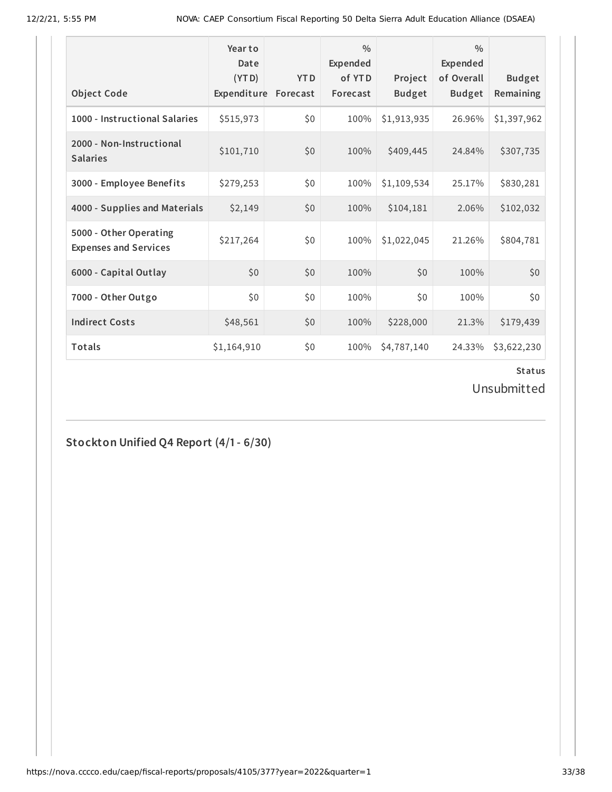| <b>Object Code</b>                                     | Year to<br>Date<br>(YTD)<br>Expenditure | <b>YTD</b><br>Forecast | $\frac{0}{0}$<br>Expended<br>of YTD<br>Forecast | Project<br><b>Budget</b> | $\frac{0}{0}$<br>Expended<br>of Overall<br><b>Budget</b> | <b>Budget</b><br>Remaining |
|--------------------------------------------------------|-----------------------------------------|------------------------|-------------------------------------------------|--------------------------|----------------------------------------------------------|----------------------------|
| 1000 - Instructional Salaries                          | \$515,973                               | \$0                    | 100%                                            | \$1,913,935              | 26.96%                                                   | \$1,397,962                |
| 2000 - Non-Instructional<br><b>Salaries</b>            | \$101,710                               | \$0                    | 100%                                            | \$409,445                | 24.84%                                                   | \$307,735                  |
| 3000 - Employee Benefits                               | \$279,253                               | \$0                    | 100%                                            | \$1,109,534              | 25.17%                                                   | \$830,281                  |
| 4000 - Supplies and Materials                          | \$2,149                                 | \$0                    | 100%                                            | \$104,181                | 2.06%                                                    | \$102,032                  |
| 5000 - Other Operating<br><b>Expenses and Services</b> | \$217,264                               | \$0                    | 100%                                            | \$1,022,045              | 21.26%                                                   | \$804,781                  |
| 6000 - Capital Outlay                                  | \$0                                     | \$0                    | 100%                                            | \$0                      | 100%                                                     | \$0                        |
| 7000 - Other Outgo                                     | \$0\$                                   | \$0                    | 100%                                            | \$0                      | 100%                                                     | \$0                        |
| <b>Indirect Costs</b>                                  | \$48,561                                | \$0                    | 100%                                            | \$228,000                | 21.3%                                                    | \$179,439                  |
| Totals                                                 | \$1,164,910                             | \$0                    | 100%                                            | \$4,787,140              | 24.33%                                                   | \$3,622,230                |

Unsubmitted

**Stockton Unified Q4 Report (4/1- 6/30)**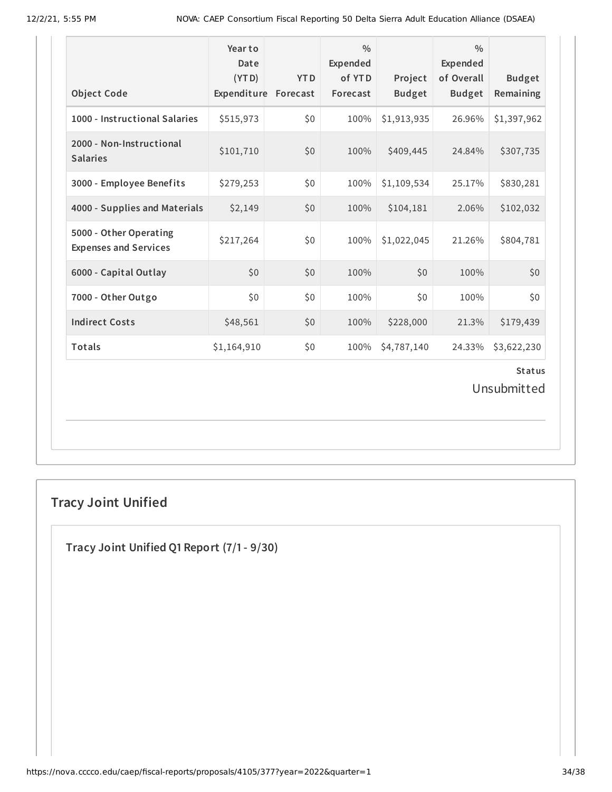| <b>Object Code</b>                                     | Year to<br>Date<br>(YTD)<br>Expenditure | <b>YTD</b><br>Forecast | $\frac{0}{0}$<br>Expended<br>of YTD<br>Forecast | Project<br><b>Budget</b> | 0/0<br><b>Expended</b><br>of Overall<br><b>Budget</b> | <b>Budget</b><br>Remaining |
|--------------------------------------------------------|-----------------------------------------|------------------------|-------------------------------------------------|--------------------------|-------------------------------------------------------|----------------------------|
| 1000 - Instructional Salaries                          | \$515,973                               | \$0                    | 100%                                            | \$1,913,935              | 26.96%                                                | \$1,397,962                |
| 2000 - Non-Instructional<br><b>Salaries</b>            | \$101,710                               | \$0                    | 100%                                            | \$409,445                | 24.84%                                                | \$307,735                  |
| 3000 - Employee Benefits                               | \$279,253                               | \$0\$                  | 100%                                            | \$1,109,534              | 25.17%                                                | \$830,281                  |
| 4000 - Supplies and Materials                          | \$2,149                                 | \$0                    | 100%                                            | \$104,181                | 2.06%                                                 | \$102,032                  |
| 5000 - Other Operating<br><b>Expenses and Services</b> | \$217,264                               | \$0                    | 100%                                            | \$1,022,045              | 21.26%                                                | \$804,781                  |
| 6000 - Capital Outlay                                  | \$0                                     | \$0                    | 100%                                            | \$0                      | 100%                                                  | \$0                        |
| 7000 - Other Outgo                                     | \$0                                     | \$0                    | 100%                                            | \$0                      | 100%                                                  | \$0                        |
| <b>Indirect Costs</b>                                  | \$48,561                                | \$0                    | 100%                                            | \$228,000                | 21.3%                                                 | \$179,439                  |
| Totals                                                 | \$1,164,910                             | \$0                    | 100%                                            | \$4,787,140              | 24.33%                                                | \$3,622,230                |
|                                                        |                                         |                        |                                                 |                          |                                                       | <b>Status</b>              |

Unsubmitted

# **Tracy Joint Unified**

**Tracy Joint Unified Q1 Report (7/1- 9/30)**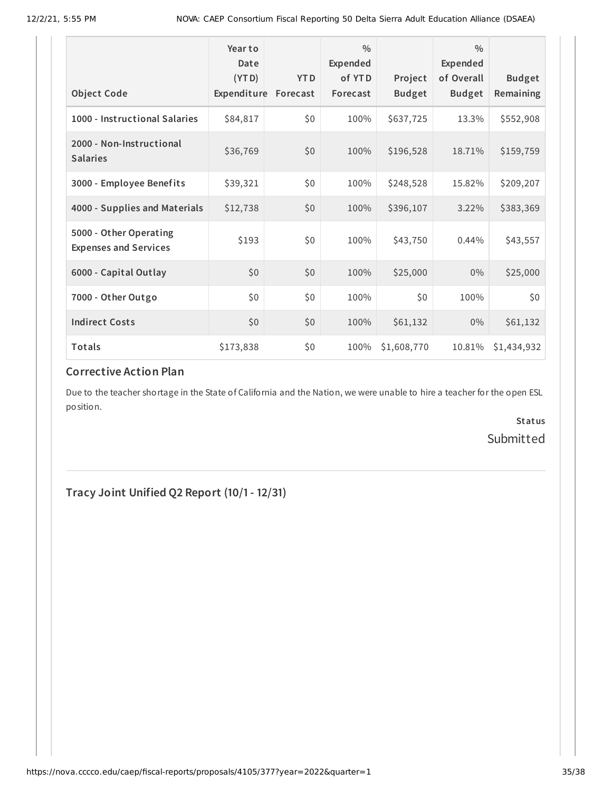| <b>Object Code</b>                                     | Year to<br>Date<br>(YTD)<br>Expenditure | <b>YTD</b><br>Forecast | $\frac{0}{0}$<br>Expended<br>of YTD<br>Forecast | Project<br><b>Budget</b> | $\frac{0}{0}$<br>Expended<br>of Overall<br><b>Budget</b> | <b>Budget</b><br>Remaining |
|--------------------------------------------------------|-----------------------------------------|------------------------|-------------------------------------------------|--------------------------|----------------------------------------------------------|----------------------------|
| 1000 - Instructional Salaries                          | \$84,817                                | \$0                    | 100%                                            | \$637,725                | 13.3%                                                    | \$552,908                  |
| 2000 - Non-Instructional<br><b>Salaries</b>            | \$36,769                                | \$0                    | 100%                                            | \$196,528                | 18.71%                                                   | \$159,759                  |
| 3000 - Employee Benefits                               | \$39,321                                | \$0                    | 100%                                            | \$248,528                | 15.82%                                                   | \$209,207                  |
| 4000 - Supplies and Materials                          | \$12,738                                | \$0                    | 100%                                            | \$396,107                | 3.22%                                                    | \$383,369                  |
| 5000 - Other Operating<br><b>Expenses and Services</b> | \$193                                   | \$0                    | 100%                                            | \$43,750                 | 0.44%                                                    | \$43,557                   |
| 6000 - Capital Outlay                                  | \$0                                     | \$0                    | 100%                                            | \$25,000                 | 0%                                                       | \$25,000                   |
| 7000 - Other Outgo                                     | \$0                                     | \$0                    | 100%                                            | \$0\$                    | 100%                                                     | \$0                        |
| <b>Indirect Costs</b>                                  | \$0                                     | \$0                    | 100%                                            | \$61,132                 | $0\%$                                                    | \$61,132                   |
| Totals                                                 | \$173,838                               | \$0                    | 100%                                            | \$1,608,770              | 10.81%                                                   | \$1,434,932                |

# **Corrective Action Plan**

Due to the teacher shortage in the State of California and the Nation, we were unable to hire a teacher for the open ESL position.

> **Status** Submitted

**Tracy Joint Unified Q2 Report (10/1- 12/31)**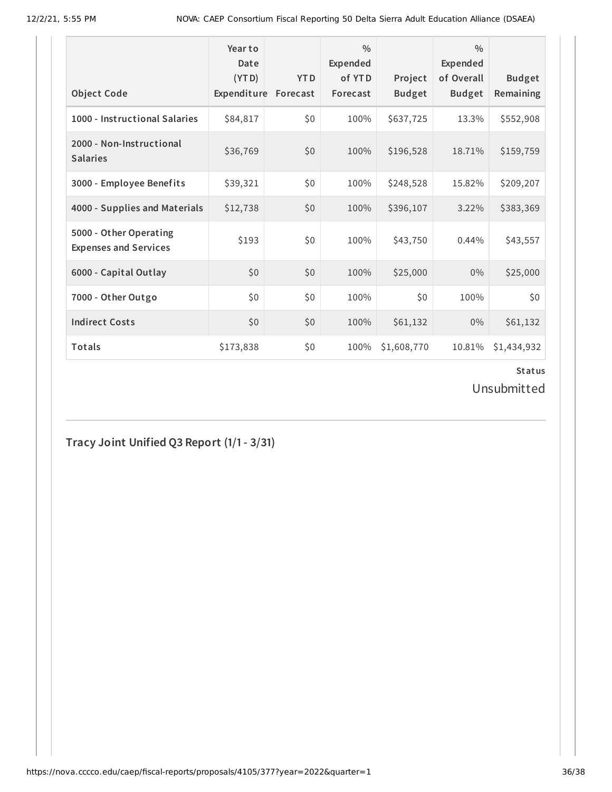| <b>Object Code</b>                                     | Year to<br>Date<br>(YTD)<br>Expenditure | <b>YTD</b><br>Forecast | $\frac{0}{0}$<br>Expended<br>of YTD<br>Forecast | Project<br><b>Budget</b> | $\frac{0}{0}$<br>Expended<br>of Overall<br><b>Budget</b> | <b>Budget</b><br>Remaining |
|--------------------------------------------------------|-----------------------------------------|------------------------|-------------------------------------------------|--------------------------|----------------------------------------------------------|----------------------------|
| 1000 - Instructional Salaries                          | \$84,817                                | \$0                    | 100%                                            | \$637,725                | 13.3%                                                    | \$552,908                  |
| 2000 - Non-Instructional<br><b>Salaries</b>            | \$36,769                                | \$0                    | 100%                                            | \$196,528                | 18.71%                                                   | \$159,759                  |
| 3000 - Employee Benefits                               | \$39,321                                | \$0                    | 100%                                            | \$248,528                | 15.82%                                                   | \$209,207                  |
| 4000 - Supplies and Materials                          | \$12,738                                | \$0                    | 100%                                            | \$396,107                | 3.22%                                                    | \$383,369                  |
| 5000 - Other Operating<br><b>Expenses and Services</b> | \$193                                   | \$0                    | 100%                                            | \$43,750                 | 0.44%                                                    | \$43,557                   |
| 6000 - Capital Outlay                                  | \$0                                     | \$0                    | 100%                                            | \$25,000                 | $0\%$                                                    | \$25,000                   |
| 7000 - Other Outgo                                     | \$0\$                                   | \$0                    | 100%                                            | \$0                      | 100%                                                     | \$0                        |
| <b>Indirect Costs</b>                                  | \$0                                     | \$0                    | 100%                                            | \$61,132                 | $0\%$                                                    | \$61,132                   |
| <b>Totals</b>                                          | \$173,838                               | \$0                    | 100%                                            | \$1,608,770              | 10.81%                                                   | \$1,434,932                |

Unsubmitted

**Tracy Joint Unified Q3 Report (1/1- 3/31)**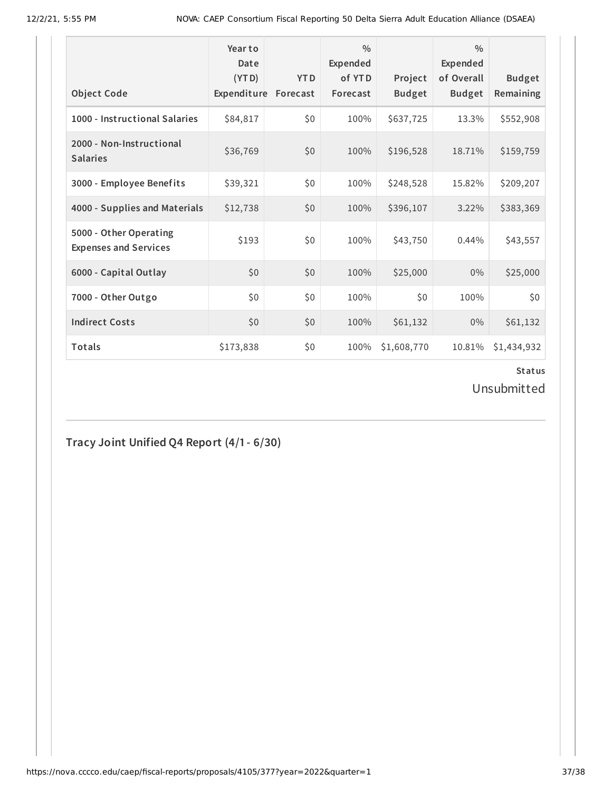| <b>Object Code</b>                                     | Year to<br>Date<br>(YTD)<br>Expenditure | <b>YTD</b><br>Forecast | $\frac{0}{0}$<br>Expended<br>of YTD<br>Forecast | Project<br><b>Budget</b> | $\frac{0}{0}$<br><b>Expended</b><br>of Overall<br><b>Budget</b> | <b>Budget</b><br>Remaining |
|--------------------------------------------------------|-----------------------------------------|------------------------|-------------------------------------------------|--------------------------|-----------------------------------------------------------------|----------------------------|
|                                                        |                                         |                        |                                                 |                          |                                                                 |                            |
| 1000 - Instructional Salaries                          | \$84,817                                | \$0                    | 100%                                            | \$637,725                | 13.3%                                                           | \$552,908                  |
| 2000 - Non-Instructional<br><b>Salaries</b>            | \$36,769                                | \$0                    | 100%                                            | \$196,528                | 18.71%                                                          | \$159,759                  |
| 3000 - Employee Benefits                               | \$39,321                                | \$0                    | 100%                                            | \$248,528                | 15.82%                                                          | \$209,207                  |
| 4000 - Supplies and Materials                          | \$12,738                                | \$0                    | 100%                                            | \$396,107                | 3.22%                                                           | \$383,369                  |
| 5000 - Other Operating<br><b>Expenses and Services</b> | \$193                                   | \$0                    | 100%                                            | \$43,750                 | 0.44%                                                           | \$43,557                   |
| 6000 - Capital Outlay                                  | \$0                                     | \$0                    | 100%                                            | \$25,000                 | $0\%$                                                           | \$25,000                   |
| 7000 - Other Outgo                                     | \$0\$                                   | \$0                    | 100%                                            | \$0                      | 100%                                                            | \$0                        |
| <b>Indirect Costs</b>                                  | \$0                                     | \$0                    | 100%                                            | \$61,132                 | $0\%$                                                           | \$61,132                   |
| <b>Totals</b>                                          | \$173,838                               | \$0                    | 100%                                            | \$1,608,770              | 10.81%                                                          | \$1,434,932                |

Unsubmitted

**Tracy Joint Unified Q4 Report (4/1- 6/30)**